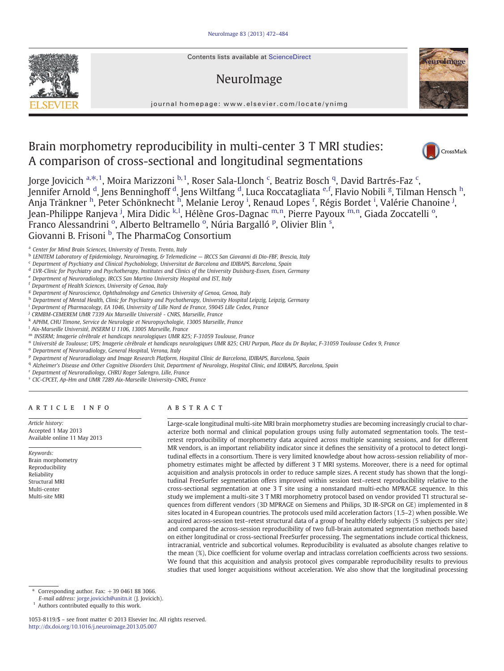### [NeuroImage 83 \(2013\) 472](http://dx.doi.org/10.1016/j.neuroimage.2013.05.007)–484

Contents lists available at ScienceDirect

# NeuroImage



# Brain morphometry reproducibility in multi-center 3 T MRI studies: A comparison of cross-sectional and longitudinal segmentations

Jorge Jovicich <sup>a, $\ast,1$ </sup>, Moira Marizzoni <sup>b, 1</sup>, Roser Sala-Llonch <sup>c</sup>, Beatriz Bosch <sup>q</sup>, David Bartrés-Faz <sup>c</sup>, Jennifer Arnold <sup>d</sup>, Jens Benninghoff <sup>d</sup>, Jens Wiltfang <sup>d</sup>, Luca Roccatagliata <sup>e,f</sup>, Flavio Nobili <sup>g</sup>, Tilman Hensch <sup>h</sup>, Anja Tränkner <sup>h</sup>, Peter Schönknecht <sup>h</sup>, Melanie Leroy <sup>i</sup>, Renaud Lopes <sup>r</sup>, Régis Bordet <sup>i</sup>, Valérie Chanoine <sup>j</sup>, Jean-Philippe Ranjeva <sup>j</sup>, Mira Didic <sup>k, l</sup>, Hélène Gros-Dagnac <sup>m,n</sup>, Pierre Payoux <sup>m,n</sup>, Giada Zoccatelli <sup>o</sup>, Franco Alessandrini<sup>o</sup>, Alberto Beltramello<sup>o</sup>, Núria Bargalló<sup>p</sup>, Olivier Blin<sup>s</sup>, Giovanni B. Frisoni <sup>b</sup>, The PharmaCog Consortium

- <sup>b</sup> LENITEM Laboratory of Epidemiology, Neuroimaging, & Telemedicine IRCCS San Giovanni di Dio-FBF, Brescia, Italy
- <sup>c</sup> Department of Psychiatry and Clinical Psychobiology, Universitat de Barcelona and IDIBAPS, Barcelona, Spain
- <sup>d</sup> LVR-Clinic for Psychiatry and Psychotherapy, Institutes and Clinics of the University Duisburg-Essen, Essen, Germany
- <sup>e</sup> Department of Neuroradiology, IRCCS San Martino University Hospital and IST, Italy
- <sup>f</sup> Department of Health Sciences, University of Genoa, Italy
- <sup>g</sup> Department of Neuroscience, Ophthalmology and Genetics University of Genoa, Genoa, Italy
- h Department of Mental Health, Clinic for Psychiatry and Psychotherapy, University Hospital Leipzig, Leipzig, Germany
- <sup>i</sup> Department of Pharmacology, EA 1046, University of Lille Nord de France, 59045 Lille Cedex, France
- <sup>j</sup> CRMBM-CEMEREM UMR 7339 Aix Marseille Université CNRS, Marseille, France
- k APHM, CHU Timone, Service de Neurologie et Neuropsychologie, 13005 Marseille, France
- <sup>l</sup> Aix-Marseille Université, INSERM U 1106, 13005 Marseille, France
- <sup>m</sup> INSERM; Imagerie cérébrale et handicaps neurologiques UMR 825; F-31059 Toulouse, France
- <sup>n</sup> Université de Toulouse; UPS; Imagerie cérébrale et handicaps neurologiques UMR 825; CHU Purpan, Place du Dr Baylac, F-31059 Toulouse Cedex 9, France
- <sup>o</sup> Department of Neuroradiology, General Hospital, Verona, Italy
- P Department of Neuroradiology and Image Research Platform, Hospital Clínic de Barcelona, IDIBAPS, Barcelona, Spain
- q Alzheimer's Disease and Other Cognitive Disorders Unit, Department of Neurology, Hospital Clínic, and IDIBAPS, Barcelona, Spain
- <sup>r</sup> Department of Neuroradiology, CHRU Roger Salengro, Lille, France
- <sup>s</sup> CIC-CPCET, Ap-Hm and UMR 7289 Aix-Marseille University-CNRS, France

### ARTICLE INFO ABSTRACT

Article history: Accepted 1 May 2013 Available online 11 May 2013

Keywords: Brain morphometry Reproducibility Reliability Structural MRI Multi-center Multi-site MRI

Large-scale longitudinal multi-site MRI brain morphometry studies are becoming increasingly crucial to characterize both normal and clinical population groups using fully automated segmentation tools. The test– retest reproducibility of morphometry data acquired across multiple scanning sessions, and for different MR vendors, is an important reliability indicator since it defines the sensitivity of a protocol to detect longitudinal effects in a consortium. There is very limited knowledge about how across-session reliability of morphometry estimates might be affected by different 3 T MRI systems. Moreover, there is a need for optimal acquisition and analysis protocols in order to reduce sample sizes. A recent study has shown that the longitudinal FreeSurfer segmentation offers improved within session test–retest reproducibility relative to the cross-sectional segmentation at one 3 T site using a nonstandard multi-echo MPRAGE sequence. In this study we implement a multi-site 3 T MRI morphometry protocol based on vendor provided T1 structural sequences from different vendors (3D MPRAGE on Siemens and Philips, 3D IR-SPGR on GE) implemented in 8 sites located in 4 European countries. The protocols used mild acceleration factors (1.5–2) when possible. We acquired across-session test–retest structural data of a group of healthy elderly subjects (5 subjects per site) and compared the across-session reproducibility of two full-brain automated segmentation methods based on either longitudinal or cross-sectional FreeSurfer processing. The segmentations include cortical thickness, intracranial, ventricle and subcortical volumes. Reproducibility is evaluated as absolute changes relative to the mean (%), Dice coefficient for volume overlap and intraclass correlation coefficients across two sessions. We found that this acquisition and analysis protocol gives comparable reproducibility results to previous studies that used longer acquisitions without acceleration. We also show that the longitudinal processing

Corresponding author. Fax:  $+390461883066$ .

E-mail address: [jorge.jovicich@unitn.it](mailto:jorge.jovicich@unitn.it) (J. Jovicich).

<sup>1</sup> Authors contributed equally to this work.

1053-8119/\$ – see front matter © 2013 Elsevier Inc. All rights reserved. <http://dx.doi.org/10.1016/j.neuroimage.2013.05.007>





CrossMark

<sup>a</sup> Center for Mind Brain Sciences, University of Trento, Trento, Italy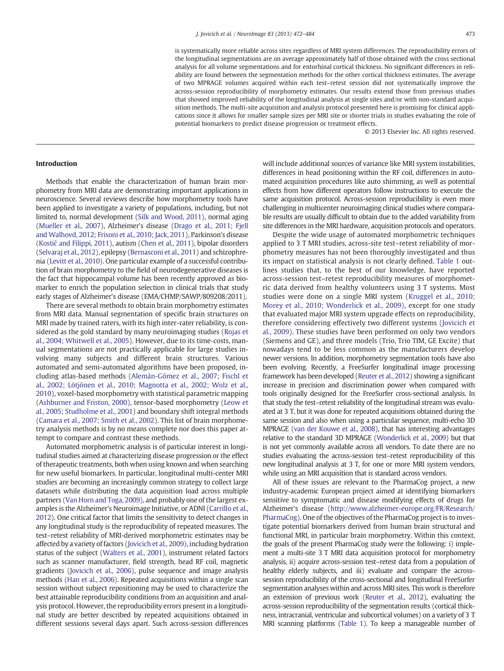is systematically more reliable across sites regardless of MRI system differences. The reproducibility errors of the longitudinal segmentations are on average approximately half of those obtained with the cross sectional analysis for all volume segmentations and for entorhinal cortical thickness. No significant differences in reliability are found between the segmentation methods for the other cortical thickness estimates. The average of two MPRAGE volumes acquired within each test–retest session did not systematically improve the across-session reproducibility of morphometry estimates. Our results extend those from previous studies that showed improved reliability of the longitudinal analysis at single sites and/or with non-standard acquisition methods. The multi-site acquisition and analysis protocol presented here is promising for clinical applications since it allows for smaller sample sizes per MRI site or shorter trials in studies evaluating the role of potential biomarkers to predict disease progression or treatment effects.

© 2013 Elsevier Inc. All rights reserved.

### Introduction

Methods that enable the characterization of human brain morphometry from MRI data are demonstrating important applications in neuroscience. Several reviews describe how morphometry tools have been applied to investigate a variety of populations, including, but not limited to, normal development [\(Silk and Wood, 2011](#page-12-0)), normal aging [\(Mueller et al., 2007\)](#page-12-0), Alzheimer's disease ([Drago et al., 2011; Fjell](#page-12-0) [and Walhovd, 2012; Frisoni et al., 2010; Jack, 2011\)](#page-12-0), Parkinson's disease (Kostić [and Filippi, 2011](#page-12-0)), autism ([Chen et al., 2011\)](#page-12-0), bipolar disorders [\(Selvaraj et al., 2012\)](#page-12-0), epilepsy [\(Bernasconi et al., 2011\)](#page-11-0) and schizophrenia ([Levitt et al., 2010\)](#page-12-0). One particular example of a successful contribution of brain morphometry to the field of neurodegenerative diseases is the fact that hippocampal volume has been recently approved as biomarker to enrich the population selection in clinical trials that study early stages of Alzheimer's disease (EMA/CHMP/SAWP/809208/2011).

There are several methods to obtain brain morphometry estimates from MRI data. Manual segmentation of specific brain structures on MRI made by trained raters, with its high inter-rater reliability, is considered as the gold standard by many neuroimaging studies [\(Rojas et](#page-12-0) [al., 2004; Whitwell et al., 2005\)](#page-12-0). However, due to its time-costs, manual segmentations are not practically applicable for large studies involving many subjects and different brain structures. Various automated and semi-automated algorithms have been proposed, including atlas-based methods [\(Alemán-Gómez et al., 2007; Fischl et](#page-11-0) [al., 2002; Lötjönen et al., 2010; Magnotta et al., 2002; Wolz et al.,](#page-11-0) [2010\)](#page-11-0), voxel-based morphometry with statistical parametric mapping [\(Ashburner and Friston, 2000](#page-11-0)), tensor-based morphometry ([Leow et](#page-12-0) [al., 2005; Studholme et al., 2001\)](#page-12-0) and boundary shift integral methods [\(Camara et al., 2007; Smith et al., 2002](#page-11-0)). This list of brain morphometry analysis methods is by no means complete nor does this paper attempt to compare and contrast these methods.

Automated morphometric analysis is of particular interest in longitudinal studies aimed at characterizing disease progression or the effect of therapeutic treatments, both when using known and when searching for new useful biomarkers. In particular, longitudinal multi-center MRI studies are becoming an increasingly common strategy to collect large datasets while distributing the data acquisition load across multiple partners [\(Van Horn and Toga, 2009](#page-12-0)), and probably one of the largest examples is the Alzheimer's Neuroimage Initiative, or ADNI [\(Carrillo et al.,](#page-12-0) [2012](#page-12-0)). One critical factor that limits the sensitivity to detect changes in any longitudinal study is the reproducibility of repeated measures. The test–retest reliability of MRI-derived morphometric estimates may be affected by a variety of factors [\(Jovicich et al., 2009](#page-12-0)), including hydration status of the subject ([Walters et al., 2001\)](#page-12-0), instrument related factors such as scanner manufacturer, field strength, head RF coil, magnetic gradients ([Jovicich et al., 2006](#page-12-0)), pulse sequence and image analysis methods [\(Han et al., 2006](#page-12-0)). Repeated acquisitions within a single scan session without subject repositioning may be used to characterize the best attainable reproducibility conditions from an acquisition and analysis protocol. However, the reproducibility errors present in a longitudinal study are better described by repeated acquisitions obtained in different sessions several days apart. Such across-session differences will include additional sources of variance like MRI system instabilities, differences in head positioning within the RF coil, differences in automated acquisition procedures like auto shimming, as well as potential effects from how different operators follow instructions to execute the same acquisition protocol. Across-session reproducibility is even more challenging in multicenter neuroimaging clinical studies where comparable results are usually difficult to obtain due to the added variability from site differences in the MRI hardware, acquisition protocols and operators.

Despite the wide usage of automated morphometric techniques applied to 3 T MRI studies, across-site test–retest reliability of morphometry measures has not been thoroughly investigated and thus its impact on statistical analysis is not clearly defined. [Table 1](#page-2-0) outlines studies that, to the best of our knowledge, have reported across-session test–retest reproducibility measures of morphometric data derived from healthy volunteers using 3 T systems. Most studies were done on a single MRI system ([Kruggel et al., 2010;](#page-12-0) [Morey et al., 2010; Wonderlick et al., 2009](#page-12-0)), except for one study that evaluated major MRI system upgrade effects on reproducibility, therefore considering effectively two different systems ([Jovicich et](#page-12-0) [al., 2009\)](#page-12-0). These studies have been performed on only two vendors (Siemens and GE), and three models (Trio, Trio TIM, GE Excite) that nowadays tend to be less common as the manufacturers develop newer versions. In addition, morphometry segmentation tools have also been evolving. Recently, a FreeSurfer longitudinal image processing framework has been developed [\(Reuter et al., 2012](#page-12-0)) showing a significant increase in precision and discrimination power when compared with tools originally designed for the FreeSurfer cross-sectional analysis. In that study the test–retest reliability of the longitudinal stream was evaluated at 3 T, but it was done for repeated acquisitions obtained during the same session and also when using a particular sequence, multi-echo 3D MPRAGE [\(van der Kouwe et al., 2008](#page-12-0)), that has interesting advantages relative to the standard 3D MPRAGE [\(Wonderlick et al., 2009](#page-12-0)) but that is not yet commonly available across all vendors. To date there are no studies evaluating the across-session test–retest reproducibility of this new longitudinal analysis at 3 T, for one or more MRI system vendors, while using an MRI acquisition that is standard across vendors.

All of these issues are relevant to the PharmaCog project, a new industry-academic European project aimed at identifying biomarkers sensitive to symptomatic and disease modifying effects of drugs for Alzheimer's disease ([http://www.alzheimer-europe.org/FR/Research/](http://www.alzheimer-europe.org/FR/Research/PharmaCog) [PharmaCog](http://www.alzheimer-europe.org/FR/Research/PharmaCog)). One of the objectives of the PharmaCog project is to investigate potential biomarkers derived from human brain structural and functional MRI, in particular brain morphometry. Within this context, the goals of the present PharmaCog study were the following: i) implement a multi-site 3 T MRI data acquisition protocol for morphometry analysis, ii) acquire across-session test–retest data from a population of healthy elderly subjects, and iii) evaluate and compare the acrosssession reproducibility of the cross-sectional and longitudinal FreeSurfer segmentation analyses within and across MRI sites. This work is therefore an extension of previous work [\(Reuter et al., 2012\)](#page-12-0), evaluating the across-session reproducibility of the segmentation results (cortical thickness, intracranial, ventricular and subcortical volumes) on a variety of 3 T MRI scanning platforms [\(Table 1](#page-2-0)). To keep a manageable number of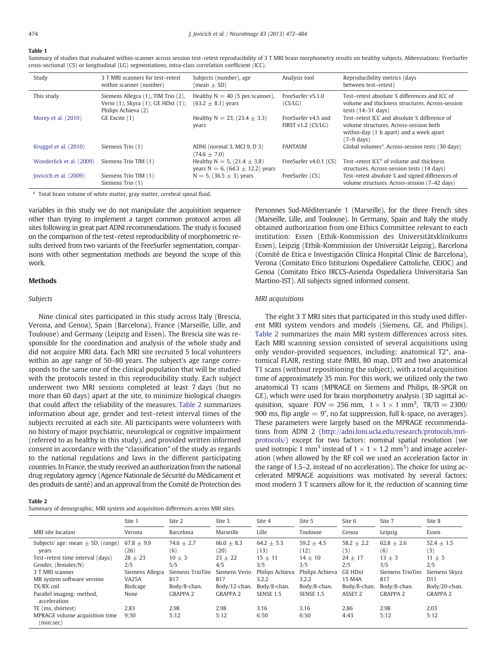### <span id="page-2-0"></span>Table 1

Summary of studies that evaluated within-scanner across session test–retest reproducibility of 3 T MRI brain morphometry results on healthy subjects. Abbreviations: FreeSurfer cross-sectional (CS) or longitudinal (LG) segmentations, intra-class correlation coefficient (ICC).

| Study                    | 3 T MRI scanners for test-retest<br>within scanner (number)                                     | Subjects (number), age<br>(mean $\pm$ SD)                               | Analysis tool                               | Reproducibility metrics (days<br>between test-retest)                                                                                             |
|--------------------------|-------------------------------------------------------------------------------------------------|-------------------------------------------------------------------------|---------------------------------------------|---------------------------------------------------------------------------------------------------------------------------------------------------|
| This study               | Siemens Allegra (1), TIM Trio (2),<br>Verio (1), Skyra (1); GE HDxt (1);<br>Philips Achieva (2) | Healthy $N = 40$ (5 per/scanner),<br>$(63.2 \pm 8.1)$ years             | FreeSurfer v5.1.0<br>(CS/LG)                | Test-retest absolute % differences and ICC of<br>volume and thickness structures. Across-session<br>tests $(14-31$ days)                          |
| Morey et al. (2010)      | GE Excite (1)                                                                                   | Healthy $N = 23$ , $(23.4 \pm 3.3)$<br>years                            | FreeSurfer v4.5 and<br>FIRST $v1.2$ (CS/LG) | Test-retest ICC and absolute % difference of<br>volume structures. Across-session both<br>within-day (1 h apart) and a week apart<br>$(7-9$ days) |
| Kruggel et al. (2010)    | Siemens Trio (1)                                                                                | ADNI (normal 3, MCI 9, D 3)<br>$(74.6 + 7.0)$                           | <b>FANTASM</b>                              | Global volumes <sup>a</sup> . Across-session tests (30 days)                                                                                      |
| Wonderlick et al. (2009) | Siemens Trio TIM (1)                                                                            | Healthy N = 5, $(21.4 \pm 3.8)$<br>years N = 6, $(64.3 \pm 12.2)$ years | FreeSurfer v4.0.1 (CS)                      | Test-retest ICC <sup>a</sup> of volume and thickness<br>structures. Across-session tests (14 days)                                                |
| Jovicich et al. (2009)   | Siemens Trio TIM (1)<br>Siemens Trio (1)                                                        | $N = 5$ , (36.5 $\pm$ 3) years                                          | FreeSurfer (CS)                             | Test-retest absolute % and signed differences of<br>volume structures. Across-session (7-42 days)                                                 |

<sup>a</sup> Total brain volume of white matter, gray matter, cerebral spinal fluid.

variables in this study we do not manipulate the acquisition sequence other than trying to implement a target common protocol across all sites following in great part ADNI recommendations. The study is focused on the comparison of the test–retest reproducibility of morphometric results derived from two variants of the FreeSurfer segmentation, comparisons with other segmentation methods are beyond the scope of this work.

## Methods

### Subjects

Nine clinical sites participated in this study across Italy (Brescia, Verona, and Genoa), Spain (Barcelona), France (Marseille, Lille, and Toulouse) and Germany (Leipzig and Essen). The Brescia site was responsible for the coordination and analysis of the whole study and did not acquire MRI data. Each MRI site recruited 5 local volunteers within an age range of 50–80 years. The subject's age range corresponds to the same one of the clinical population that will be studied with the protocols tested in this reproducibility study. Each subject underwent two MRI sessions completed at least 7 days (but no more than 60 days) apart at the site, to minimize biological changes that could affect the reliability of the measures. Table 2 summarizes information about age, gender and test–retest interval times of the subjects recruited at each site. All participants were volunteers with no history of major psychiatric, neurological or cognitive impairment (referred to as healthy in this study), and provided written informed consent in accordance with the "classification" of the study as regards to the national regulations and laws in the different participating countries. In France, the study received an authorization from the national drug regulatory agency (Agence Nationale de Sécurité du Médicament et des produits de santé) and an approval from the Comité de Protection des

### Table 2

Summary of demographic, MRI system and acquisition differences across MRI sites.

Personnes Sud-Méditerranée 1 (Marseille), for the three French sites (Marseille, Lille, and Toulouse). In Germany, Spain and Italy the study obtained authorization from one Ethics Committee relevant to each institution: Essen (Ethik-Kommission des Universitätsklinikums Essen), Leipzig (Ethik-Kommission der Universität Leipzig), Barcelona (Comité de Etica e Investigación Clínica Hospital Clínic de Barcelona), Verona (Comitato Etico Istituzioni Ospedaliere Cattoliche, CEIOC) and Genoa (Comitato Etico IRCCS-Azienda Ospedaliera Universitaria San Martino-IST). All subjects signed informed consent.

### MRI acquisitions

The eight 3 T MRI sites that participated in this study used different MRI system vendors and models (Siemens, GE, and Philips). Table 2 summarizes the main MRI system differences across sites. Each MRI scanning session consisted of several acquisitions using only vendor-provided sequences, including: anatomical T2\*, anatomical FLAIR, resting state fMRI, B0 map, DTI and two anatomical T1 scans (without repositioning the subject), with a total acquisition time of approximately 35 min. For this work, we utilized only the two anatomical T1 scans (MPRAGE on Siemens and Philips, IR-SPGR on GE), which were used for brain morphometry analysis (3D sagittal acquisition, square  $FOV = 256$  mm,  $1 \times 1 \times 1$  mm<sup>3</sup>, TR/TI = 2300/ 900 ms, flip angle  $= 9^{\circ}$ , no fat suppression, full k-space, no averages). These parameters were largely based on the MPRAGE recommendations from ADNI 2 [\(http://adni.loni.ucla.edu/research/protocols/mri](http://adni.loni.ucla.edu/research/protocols/mri-protocols/)[protocols/](http://adni.loni.ucla.edu/research/protocols/mri-protocols/)) except for two factors: nominal spatial resolution (we used isotropic 1 mm<sup>3</sup> instead of  $1 \times 1 \times 1.2$  mm<sup>3</sup>) and image acceleration (when allowed by the RF coil we used an acceleration factor in the range of 1.5–2, instead of no acceleration). The choice for using accelerated MPRAGE acquisitions was motivated by several factors: most modern 3 T scanners allow for it, the reduction of scanning time

|                                                                                                                                                                                                       | Site 1                                                                                          | Site 2                                                                                                     | Site 3                                                                                                      | Site 4                                                                                                   | Site 5                                                                                                   | Site 6                                                                                                    | Site 7                                                                                                     | Site 8                                                                                             |
|-------------------------------------------------------------------------------------------------------------------------------------------------------------------------------------------------------|-------------------------------------------------------------------------------------------------|------------------------------------------------------------------------------------------------------------|-------------------------------------------------------------------------------------------------------------|----------------------------------------------------------------------------------------------------------|----------------------------------------------------------------------------------------------------------|-----------------------------------------------------------------------------------------------------------|------------------------------------------------------------------------------------------------------------|----------------------------------------------------------------------------------------------------|
| MRI site location                                                                                                                                                                                     | Verona                                                                                          | Barcelona                                                                                                  | Marseille                                                                                                   | Lille                                                                                                    | Toulouse                                                                                                 | Genoa                                                                                                     | Leipzig                                                                                                    | Essen                                                                                              |
| Subjects' age: mean $\pm$ SD, (range)<br>years<br>Test-retest time interval (days)<br>Gender, (females/N)<br>3 T MRI scanner<br>MR system software version<br>TX/RX coil<br>Parallel imaging: method, | $67.8 + 9.9$<br>(26)<br>$28 + 23$<br>2/5<br>Siemens Allegra<br><b>VA25A</b><br>Birdcage<br>None | $74.6 + 2.7$<br>(6)<br>$10 + 3$<br>5/5<br>Siemens TrioTim<br><b>B17</b><br>Body/8-chan.<br><b>GRAPPA 2</b> | $66.0 + 8.3$<br>(20)<br>$23 + 22$<br>4/5<br>Siemens Verio<br><b>B17</b><br>Body/12-chan.<br><b>GRAPPA 2</b> | $64.2 + 5.3$<br>(13)<br>$15 + 11$<br>3/5<br>Philips Achieva<br>3.2.2<br>Body/8-chan.<br><b>SENSE 1.5</b> | $59.2 + 4.5$<br>(12)<br>$14 + 10$<br>3/5<br>Philips Achieva<br>3.2.2<br>Body/8-chan.<br><b>SENSE 1.5</b> | $58.2 + 2.2$<br>(5)<br>$24 + 17$<br>2/5<br><b>GE HDxt</b><br>15 M4A<br>Body/8-chan.<br>ASSET <sub>2</sub> | $62.8 + 2.6$<br>(6)<br>$13 + 3$<br>3/5<br>Siemens TrioTim<br><b>B17</b><br>Body/8-chan.<br><b>GRAPPA 2</b> | $52.4 + 1.5$<br>(3)<br>$11 + 5$<br>2/5<br>Siemens Skyra<br>D11<br>Body/20-chan.<br><b>GRAPPA 2</b> |
| acceleration<br>TE (ms, shortest)<br>MPRAGE volume acquisition time<br>(min:sec)                                                                                                                      | 2.83<br>9:50                                                                                    | 2.98<br>5:12                                                                                               | 2.98<br>5:12                                                                                                | 3.16<br>6:50                                                                                             | 3.16<br>6:50                                                                                             | 2.86<br>4:43                                                                                              | 2.98<br>5:12                                                                                               | 2.03<br>5:12                                                                                       |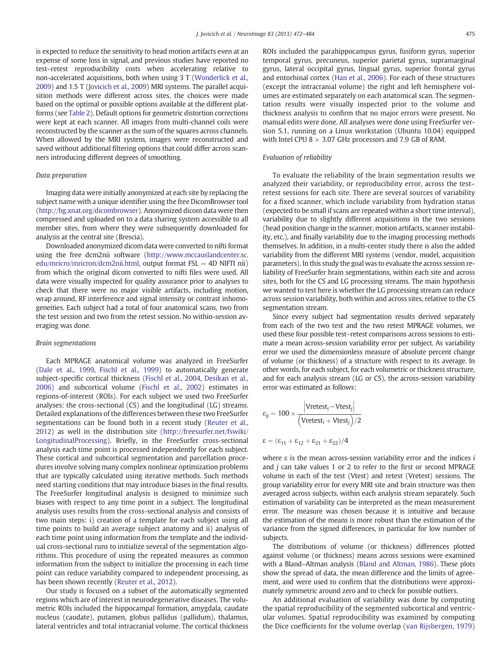is expected to reduce the sensitivity to head motion artifacts even at an expense of some loss in signal, and previous studies have reported no test–retest reproducibility costs when accelerating relative to non-accelerated acquisitions, both when using 3 T [\(Wonderlick et al.,](#page-12-0) [2009](#page-12-0)) and 1.5 T ([Jovicich et al., 2009\)](#page-12-0) MRI systems. The parallel acquisition methods were different across sites, the choices were made based on the optimal or possible options available at the different platforms (see [Table 2](#page-2-0)). Default options for geometric distortion corrections were kept at each scanner. All images from multi-channel coils were reconstructed by the scanner as the sum of the squares across channels. When allowed by the MRI system, images were reconstructed and saved without additional filtering options that could differ across scanners introducing different degrees of smoothing.

### Data preparation

Imaging data were initially anonymized at each site by replacing the subject name with a unique identifier using the free DicomBrowser tool [\(http://hg.xnat.org/dicombrowser](http://hg.xnat.org/dicombrowser)). Anonymized dicom data were then compressed and uploaded on to a data sharing system accessible to all member sites, from where they were subsequently downloaded for analysis at the central site (Brescia).

Downloaded anonymized dicom data were converted to nifti format using the free dcm2nii software ([http://www.mccauslandcenter.sc.](http://www.mccauslandcenter.sc.edu/mricro/mricron/dcm2nii.html) [edu/mricro/mricron/dcm2nii.html](http://www.mccauslandcenter.sc.edu/mricro/mricron/dcm2nii.html), output format FSL — 4D NIFTI nii) from which the original dicom converted to nifti files were used. All data were visually inspected for quality assurance prior to analyses to check that there were no major visible artifacts, including motion, wrap around, RF interference and signal intensity or contrast inhomogeneities. Each subject had a total of four anatomical scans, two from the test session and two from the retest session. No within-session averaging was done.

### Brain segmentations

Each MPRAGE anatomical volume was analyzed in FreeSurfer [\(Dale et al., 1999](#page-12-0), [Fischl et al., 1999\)](#page-12-0) to automatically generate subject-specific cortical thickness ([Fischl et al., 2004,](#page-12-0) [Desikan et al.,](#page-12-0) [2006\)](#page-12-0) and subcortical volume ([Fischl et al., 2002](#page-12-0)) estimates in regions-of-interest (ROIs). For each subject we used two FreeSurfer analyses: the cross-sectional (CS) and the longitudinal (LG) streams. Detailed explanations of the differences between these two FreeSurfer segmentations can be found both in a recent study [\(Reuter et al.,](#page-12-0) [2012\)](#page-12-0) as well in the distribution site ([http://freesurfer.net/fswiki/](http://freesurfer.net/fswiki/LongitudinalProcessing) [LongitudinalProcessing\)](http://freesurfer.net/fswiki/LongitudinalProcessing). Briefly, in the FreeSurfer cross-sectional analysis each time point is processed independently for each subject. These cortical and subcortical segmentation and parcellation procedures involve solving many complex nonlinear optimization problems that are typically calculated using iterative methods. Such methods need starting conditions that may introduce biases in the final results. The FreeSurfer longitudinal analysis is designed to minimize such biases with respect to any time point in a subject. The longitudinal analysis uses results from the cross-sectional analysis and consists of two main steps: i) creation of a template for each subject using all time points to build an average subject anatomy and ii) analysis of each time point using information from the template and the individual cross-sectional runs to initialize several of the segmentation algorithms. This procedure of using the repeated measures as common information from the subject to initialize the processing in each time point can reduce variability compared to independent processing, as has been shown recently ([Reuter et al., 2012](#page-12-0)).

Our study is focused on a subset of the automatically segmented regions which are of interest in neurodegenerative diseases. The volumetric ROIs included the hippocampal formation, amygdala, caudate nucleus (caudate), putamen, globus pallidus (pallidum), thalamus, lateral ventricles and total intracranial volume. The cortical thickness ROIs included the parahippocampus gyrus, fusiform gyrus, superior temporal gyrus, precuneus, superior parietal gyrus, supramarginal gyrus, lateral occipital gyrus, lingual gyrus, superior frontal gyrus and entorhinal cortex ([Han et al., 2006\)](#page-12-0). For each of these structures (except the intracranial volume) the right and left hemisphere volumes are estimated separately on each anatomical scan. The segmentation results were visually inspected prior to the volume and thickness analysis to confirm that no major errors were present. No manual edits were done. All analyses were done using FreeSurfer version 5.1, running on a Linux workstation (Ubuntu 10.04) equipped with Intel CPU 8  $\times$  3.07 GHz processors and 7.9 GB of RAM.

### Evaluation of reliability

To evaluate the reliability of the brain segmentation results we analyzed their variability, or reproducibility error, across the test– retest sessions for each site. There are several sources of variability for a fixed scanner, which include variability from hydration status (expected to be small if scans are repeated within a short time interval), variability due to slightly different acquisitions in the two sessions (head position change in the scanner, motion artifacts, scanner instability, etc.), and finally variability due to the imaging processing methods themselves. In addition, in a multi-center study there is also the added variability from the different MRI systems (vendor, model, acquisition parameters). In this study the goal was to evaluate the across session reliability of FreeSurfer brain segmentations, within each site and across sites, both for the CS and LG processing streams. The main hypothesis we wanted to test here is whether the LG processing stream can reduce across session variability, both within and across sites, relative to the CS segmentation stream.

Since every subject had segmentation results derived separately from each of the two test and the two retest MPRAGE volumes, we used these four possible test–retest comparisons across sessions to estimate a mean across-session variability error per subject. As variability error we used the dimensionless measure of absolute percent change of volume (or thickness) of a structure with respect to its average. In other words, for each subject, for each volumetric or thickness structure, and for each analysis stream (LG or CS), the across-session variability error was estimated as follows:

$$
\epsilon_{ij} = 100 \times \frac{\left| \text{Vretest}_{i} - \text{Vtest}_{j} \right|}{\left( \text{Vretest}_{i} + \text{Vtest}_{j} \right) / 2}
$$

$$
\epsilon = (\epsilon_{11} + \epsilon_{12} + \epsilon_{21} + \epsilon_{22}) / 4
$$

where  $\varepsilon$  is the mean across-session variability error and the indices i and  $j$  can take values 1 or 2 to refer to the first or second MPRAGE volume in each of the test (Vtest) and retest (Vretest) sessions. The group variability error for every MRI site and brain structure was then averaged across subjects, within each analysis stream separately. Such estimation of variability can be interpreted as the mean measurement error. The measure was chosen because it is intuitive and because the estimation of the means is more robust than the estimation of the variance from the signed differences, in particular for low number of subjects.

The distributions of volume (or thickness) differences plotted against volume (or thickness) means across sessions were examined with a Bland–Altman analysis ([Bland and Altman, 1986\)](#page-11-0). These plots show the spread of data, the mean difference and the limits of agreement, and were used to confirm that the distributions were approximately symmetric around zero and to check for possible outliers.

An additional evaluation of variability was done by computing the spatial reproducibility of the segmented subcortical and ventricular volumes. Spatial reproducibility was examined by computing the Dice coefficients for the volume overlap [\(van Rijsbergen, 1979](#page-12-0))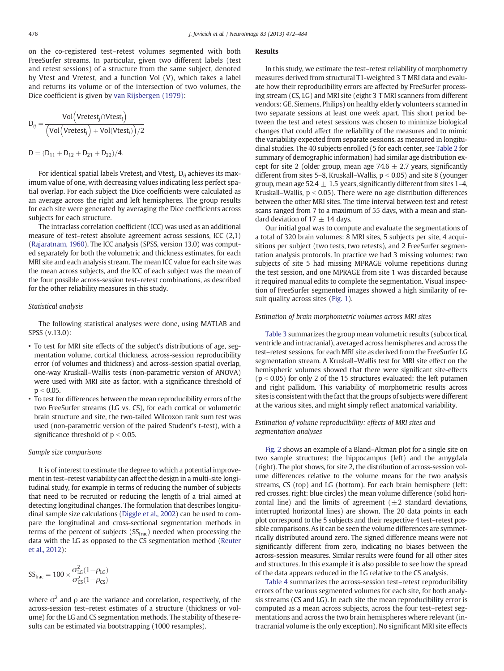on the co-registered test–retest volumes segmented with both FreeSurfer streams. In particular, given two different labels (test and retest sessions) of a structure from the same subject, denoted by Vtest and Vretest, and a function Vol (V), which takes a label and returns its volume or of the intersection of two volumes, the Dice coefficient is given by [van Rijsbergen \(1979\)](#page-12-0):

$$
D_{ij} = \frac{Vol\left(Vretest_j \cap Vtest_i\right)}{\left(Vol\left(Vretest_j\right) + Vol(Vtest_i)\right)/2}
$$

$$
D = (D_{11} + D_{12} + D_{21} + D_{22})/4.
$$

For identical spatial labels Vretest<sub>i</sub> and Vtest<sub>i</sub>,  $D_{ij}$  achieves its maximum value of one, with decreasing values indicating less perfect spatial overlap. For each subject the Dice coefficients were calculated as an average across the right and left hemispheres. The group results for each site were generated by averaging the Dice coefficients across subjects for each structure.

The intraclass correlation coefficient (ICC) was used as an additional measure of test–retest absolute agreement across sessions, ICC (2,1) [\(Rajaratnam, 1960\)](#page-12-0). The ICC analysis (SPSS, version 13.0) was computed separately for both the volumetric and thickness estimates, for each MRI site and each analysis stream. The mean ICC value for each site was the mean across subjects, and the ICC of each subject was the mean of the four possible across-session test–retest combinations, as described for the other reliability measures in this study.

### Statistical analysis

The following statistical analyses were done, using MATLAB and SPSS (v.13.0):

- To test for MRI site effects of the subject's distributions of age, segmentation volume, cortical thickness, across-session reproducibility error (of volumes and thickness) and across-session spatial overlap, one-way Kruskall–Wallis tests (non-parametric version of ANOVA) were used with MRI site as factor, with a significance threshold of  $p < 0.05$ .
- To test for differences between the mean reproducibility errors of the two FreeSurfer streams (LG vs. CS), for each cortical or volumetric brain structure and site, the two-tailed Wilcoxon rank sum test was used (non-parametric version of the paired Student's t-test), with a significance threshold of  $p < 0.05$ .

### Sample size comparisons

It is of interest to estimate the degree to which a potential improvement in test–retest variability can affect the design in a multi-site longitudinal study, for example in terms of reducing the number of subjects that need to be recruited or reducing the length of a trial aimed at detecting longitudinal changes. The formulation that describes longitudinal sample size calculations [\(Diggle et al., 2002\)](#page-12-0) can be used to compare the longitudinal and cross-sectional segmentation methods in terms of the percent of subjects ( $SS<sub>frac</sub>$ ) needed when processing the data with the LG as opposed to the CS segmentation method [\(Reuter](#page-12-0) [et al., 2012](#page-12-0)):

$$
SS_{\text{frac}} = 100 \times \frac{\sigma_{\text{LG}}^2 (1 - \rho_{\text{LG}})}{\sigma_{\text{CS}}^2 (1 - \rho_{\text{CS}})}
$$

where  $\sigma^2$  and  $\rho$  are the variance and correlation, respectively, of the across-session test–retest estimates of a structure (thickness or volume) for the LG and CS segmentation methods. The stability of these results can be estimated via bootstrapping (1000 resamples).

### Results

In this study, we estimate the test–retest reliability of morphometry measures derived from structural T1-weighted 3 T MRI data and evaluate how their reproducibility errors are affected by FreeSurfer processing stream (CS, LG) and MRI site (eight 3 T MRI scanners from different vendors: GE, Siemens, Philips) on healthy elderly volunteers scanned in two separate sessions at least one week apart. This short period between the test and retest sessions was chosen to minimize biological changes that could affect the reliability of the measures and to mimic the variability expected from separate sessions, as measured in longitudinal studies. The 40 subjects enrolled (5 for each center, see [Table 2](#page-2-0) for summary of demographic information) had similar age distribution except for site 2 (older group, mean age 74.6  $\pm$  2.7 years, significantly different from sites 5–8, Kruskall–Wallis,  $p < 0.05$ ) and site 8 (younger group, mean age 52.4  $\pm$  1.5 years, significantly different from sites 1–4, Kruskall–Wallis,  $p < 0.05$ ). There were no age distribution differences between the other MRI sites. The time interval between test and retest scans ranged from 7 to a maximum of 55 days, with a mean and standard deviation of  $17 \pm 14$  days.

Our initial goal was to compute and evaluate the segmentations of a total of 320 brain volumes: 8 MRI sites, 5 subjects per site, 4 acquisitions per subject (two tests, two retests), and 2 FreeSurfer segmentation analysis protocols. In practice we had 3 missing volumes: two subjects of site 5 had missing MPRAGE volume repetitions during the test session, and one MPRAGE from site 1 was discarded because it required manual edits to complete the segmentation. Visual inspection of FreeSurfer segmented images showed a high similarity of result quality across sites [\(Fig. 1\)](#page-5-0).

### Estimation of brain morphometric volumes across MRI sites

[Table 3](#page-6-0) summarizes the group mean volumetric results (subcortical, ventricle and intracranial), averaged across hemispheres and across the test–retest sessions, for each MRI site as derived from the FreeSurfer LG segmentation stream. A Kruskall–Wallis test for MRI site effect on the hemispheric volumes showed that there were significant site-effects ( $p < 0.05$ ) for only 2 of the 15 structures evaluated: the left putamen and right pallidum. This variability of morphometric results across sites is consistent with the fact that the groups of subjects were different at the various sites, and might simply reflect anatomical variability.

### Estimation of volume reproducibility: effects of MRI sites and segmentation analyses

[Fig. 2](#page-7-0) shows an example of a Bland–Altman plot for a single site on two sample structures: the hippocampus (left) and the amygdala (right). The plot shows, for site 2, the distribution of across-session volume differences relative to the volume means for the two analysis streams, CS (top) and LG (bottom). For each brain hemisphere (left: red crosses, right: blue circles) the mean volume difference (solid horizontal line) and the limits of agreement  $(\pm 2$  standard deviations, interrupted horizontal lines) are shown. The 20 data points in each plot correspond to the 5 subjects and their respective 4 test–retest possible comparisons. As it can be seen the volume differences are symmetrically distributed around zero. The signed difference means were not significantly different from zero, indicating no biases between the across-session measures. Similar results were found for all other sites and structures. In this example it is also possible to see how the spread of the data appears reduced in the LG relative to the CS analysis.

[Table 4](#page-7-0) summarizes the across-session test–retest reproducibility errors of the various segmented volumes for each site, for both analysis streams (CS and LG). In each site the mean reproducibility error is computed as a mean across subjects, across the four test–retest segmentations and across the two brain hemispheres where relevant (intracranial volume is the only exception). No significant MRI site effects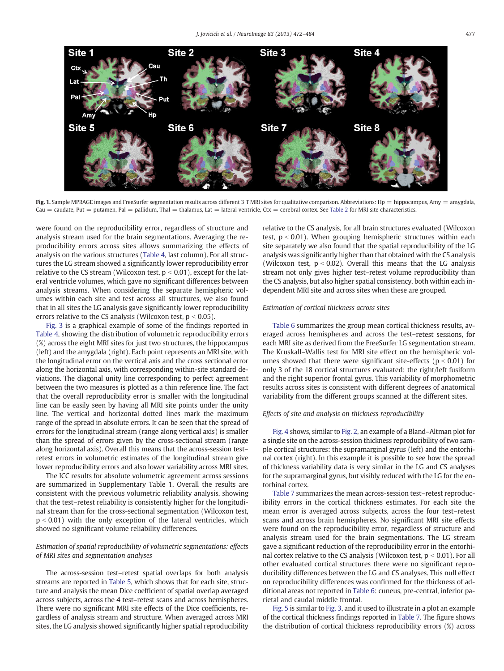<span id="page-5-0"></span>

Fig. 1. Sample MPRAGE images and FreeSurfer segmentation results across different 3 TMRI sites for qualitative comparison. Abbreviations: Hp = hippocampus, Amy = amygdala,  $Cau = caudate$ , Put = putamen, Pal = pallidum, Thal = thalamus, Lat = lateral ventricle, Ctx = cerebral cortex. See [Table 2](#page-2-0) for MRI site characteristics.

were found on the reproducibility error, regardless of structure and analysis stream used for the brain segmentations. Averaging the reproducibility errors across sites allows summarizing the effects of analysis on the various structures ([Table 4,](#page-7-0) last column). For all structures the LG stream showed a significantly lower reproducibility error relative to the CS stream (Wilcoxon test,  $p < 0.01$ ), except for the lateral ventricle volumes, which gave no significant differences between analysis streams. When considering the separate hemispheric volumes within each site and test across all structures, we also found that in all sites the LG analysis gave significantly lower reproducibility errors relative to the CS analysis (Wilcoxon test,  $p < 0.05$ ).

[Fig. 3](#page-8-0) is a graphical example of some of the findings reported in [Table 4,](#page-7-0) showing the distribution of volumetric reproducibility errors (%) across the eight MRI sites for just two structures, the hippocampus (left) and the amygdala (right). Each point represents an MRI site, with the longitudinal error on the vertical axis and the cross sectional error along the horizontal axis, with corresponding within-site standard deviations. The diagonal unity line corresponding to perfect agreement between the two measures is plotted as a thin reference line. The fact that the overall reproducibility error is smaller with the longitudinal line can be easily seen by having all MRI site points under the unity line. The vertical and horizontal dotted lines mark the maximum range of the spread in absolute errors. It can be seen that the spread of errors for the longitudinal stream (range along vertical axis) is smaller than the spread of errors given by the cross-sectional stream (range along horizontal axis). Overall this means that the across-session test– retest errors in volumetric estimates of the longitudinal stream give lower reproducibility errors and also lower variability across MRI sites.

The ICC results for absolute volumetric agreement across sessions are summarized in Supplementary Table 1. Overall the results are consistent with the previous volumetric reliability analysis, showing that the test–retest reliability is consistently higher for the longitudinal stream than for the cross-sectional segmentation (Wilcoxon test,  $p < 0.01$ ) with the only exception of the lateral ventricles, which showed no significant volume reliability differences.

### Estimation of spatial reproducibility of volumetric segmentations: effects of MRI sites and segmentation analyses

The across-session test–retest spatial overlaps for both analysis streams are reported in [Table 5,](#page-8-0) which shows that for each site, structure and analysis the mean Dice coefficient of spatial overlap averaged across subjects, across the 4 test–retest scans and across hemispheres. There were no significant MRI site effects of the Dice coefficients, regardless of analysis stream and structure. When averaged across MRI sites, the LG analysis showed significantly higher spatial reproducibility relative to the CS analysis, for all brain structures evaluated (Wilcoxon test,  $p < 0.01$ ). When grouping hemispheric structures within each site separately we also found that the spatial reproducibility of the LG analysis was significantly higher than that obtained with the CS analysis (Wilcoxon test,  $p < 0.02$ ). Overall this means that the LG analysis stream not only gives higher test–retest volume reproducibility than the CS analysis, but also higher spatial consistency, both within each independent MRI site and across sites when these are grouped.

### Estimation of cortical thickness across sites

[Table 6](#page-9-0) summarizes the group mean cortical thickness results, averaged across hemispheres and across the test–retest sessions, for each MRI site as derived from the FreeSurfer LG segmentation stream. The Kruskall–Wallis test for MRI site effect on the hemispheric volumes showed that there were significant site-effects ( $p < 0.01$ ) for only 3 of the 18 cortical structures evaluated: the right/left fusiform and the right superior frontal gyrus. This variability of morphometric results across sites is consistent with different degrees of anatomical variability from the different groups scanned at the different sites.

### Effects of site and analysis on thickness reproducibility

[Fig. 4](#page-9-0) shows, similar to [Fig. 2](#page-7-0), an example of a Bland–Altman plot for a single site on the across-session thickness reproducibility of two sample cortical structures: the supramarginal gyrus (left) and the entorhinal cortex (right). In this example it is possible to see how the spread of thickness variability data is very similar in the LG and CS analyses for the supramarginal gyrus, but visibly reduced with the LG for the entorhinal cortex.

[Table 7](#page-10-0) summarizes the mean across-session test–retest reproducibility errors in the cortical thickness estimates. For each site the mean error is averaged across subjects, across the four test–retest scans and across brain hemispheres. No significant MRI site effects were found on the reproducibility error, regardless of structure and analysis stream used for the brain segmentations. The LG stream gave a significant reduction of the reproducibility error in the entorhinal cortex relative to the CS analysis (Wilcoxon test,  $p < 0.01$ ). For all other evaluated cortical structures there were no significant reproducibility differences between the LG and CS analyses. This null effect on reproducibility differences was confirmed for the thickness of additional areas not reported in [Table 6:](#page-9-0) cuneus, pre-central, inferior parietal and caudal middle frontal.

[Fig. 5](#page-10-0) is similar to [Fig. 3,](#page-8-0) and it used to illustrate in a plot an example of the cortical thickness findings reported in [Table 7](#page-10-0). The figure shows the distribution of cortical thickness reproducibility errors (%) across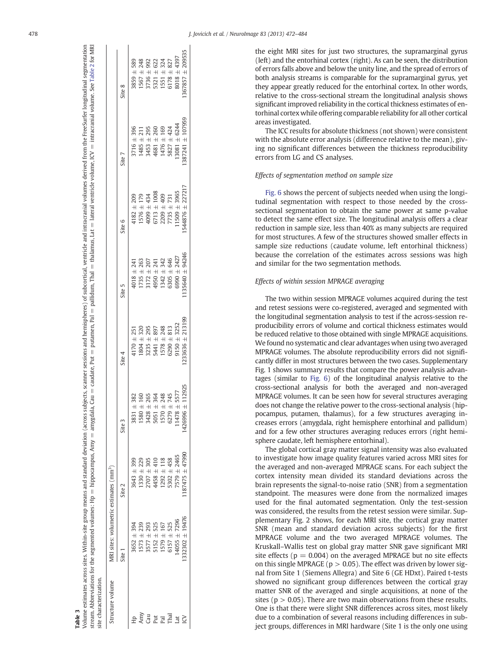<span id="page-6-0"></span>

| a. | I<br>$\sim$ |
|----|-------------|
|    |             |

, ventricle and intracranial volumes derived from the FreeSurfer longitudinal segmentation

 $=$  lateral ventricle volume, ICV  $=$  intracranial volume. See Table 2 for MRI

stream. Abbreviations for the segmented volumes: Hp = hippocampus, Amy = amygdala, Cau = caudate, Put = putamen, Pal = pallidum, Thal = thalamus, Lat = lateral ventricle volume, ICV = intracranial volume. See [Table](#page-2-0) 2 for

stream. Abbreviations for the segmented volumes:  $Hp =$  hippocampus, Amy  $=$  amygdala, Cau  $=$  caudate, Put  $=$  putamen, Pal

 $=$  pallidum, Thal  $=$  thalamus, Lat

| site characterization. |                                                    |                  |                      |                      |                   |                   |                     |                   |
|------------------------|----------------------------------------------------|------------------|----------------------|----------------------|-------------------|-------------------|---------------------|-------------------|
| Structure volume       | MRI sites: volumetric estimates (mm <sup>3</sup> ) |                  |                      |                      |                   |                   |                     |                   |
|                        | Site 1                                             | Site 2           | Site 3               | Site 4               | Site 5            | Site 6            | Site 7              | Site 8            |
|                        | $3652 + 394$                                       | $3643 + 399$     | $3831 + 382$         | $4170 \pm 251$       | $4018 + 241$      | $4182 + 209$      | $3716 \pm 396$      | 589<br>3859 ±     |
|                        | $1573 \pm 239$                                     | $1330 + 229$     | $1580 + 160$         | $1804 \pm 320$       | $1735 + 263$      | $1576 \pm 179$    | $1485 + 211$        | 248<br>$1567 \pm$ |
| Amy<br>Cau             | $3577 \pm 293$                                     | $2707 \pm 305$   | 265<br>$428 \pm 7$   | 295<br>$3235 \pm$    | 207<br>$3172 \pm$ | $4099 \pm 434$    | 295<br>$3453 \pm$   | 992<br>$3736 \pm$ |
| Put                    | $5152 \pm 525$                                     | $4458 \pm 410$   | $051 + 364$          | 897<br>5441 ±        | 4950 ± 241        | $6713 \pm 1008$   | 4681 ± 260          | 622<br>5321 ±     |
| Pal                    | 1579 ± 167                                         | $1292 \pm 118$   | $1570 \pm 248$       | 248<br>1578 ±        | $1342 + 342$      | 409<br>$2209 \pm$ | $1476 \pm 169$      | 324<br>$1551 \pm$ |
| Thal                   | $6157 + 525$                                       | $5302 + 458$     | $6279 \pm 745$       | 813<br>$6290 \pm$    | $6305 + 646$      | 731<br>$7735 \pm$ | $5827 \pm 424$      | 827<br>$6178 \pm$ |
| d                      | $14055 \pm 7296$                                   | 7579 ± 2465      | $11478 + 5577$       | $9150 \pm 3252$      | $6990 + 2427$     | $1509 \pm 3965$   | $13081 + 6244$      | 4397<br>8018 ±    |
| ₫                      | 332302 ± 19476                                     | $187475 + 47990$ | $1426996 \pm 112925$ | $1233636 \pm 213199$ | $135640 + 94246$  | 544876 ± 22721    | $387241 \pm 107959$ | $367857 + 209535$ |
|                        |                                                    |                  |                      |                      |                   |                   |                     |                   |

the eight MRI sites for just two structures, the supramarginal gyrus (left) and the entorhinal cortex (right). As can be seen, the distribution of errors falls above and below the unity line, and the spread of errors of both analysis streams is comparable for the supramarginal gyrus, yet they appear greatly reduced for the entorhinal cortex. In other words, relative to the cross-sectional stream the longitudinal analysis shows significant improved reliability in the cortical thickness estimates of entorhinal cortex while offering comparable reliability for all other cortical areas investigated.

The ICC results for absolute thickness (not shown) were consistent with the absolute error analysis (difference relative to the mean), giving no significant differences between the thickness reproducibility errors from LG and CS analyses.

### Effects of segmentation method on sample size

[Fig. 6](#page-11-0) shows the percent of subjects needed when using the longitudinal segmentation with respect to those needed by the crosssectional segmentation to obtain the same power at same p-value to detect the same effect size. The longitudinal analysis offers a clear reduction in sample size, less than 40% as many subjects are required for most structures. A few of the structures showed smaller effects in sample size reductions (caudate volume, left entorhinal thickness) because the correlation of the estimates across sessions was high and similar for the two segmentation methods.

### Effects of within session MPRAGE averaging

The two within session MPRAGE volumes acquired during the test and retest sessions were co-registered, averaged and segmented with the longitudinal segmentation analysis to test if the across-session reproducibility errors of volume and cortical thickness estimates would be reduced relative to those obtained with single MPRAGE acquisitions. We found no systematic and clear advantages when using two averaged MPRAGE volumes. The absolute reproducibility errors did not significantly differ in most structures between the two cases. Supplementary Fig. 1 shows summary results that compare the power analysis advantages (similar to [Fig. 6](#page-11-0)) of the longitudinal analysis relative to the cross-sectional analysis for both the averaged and non-averaged MPRAGE volumes. It can be seen how for several structures averaging does not change the relative power to the cross-sectional analysis (hippocampus, putamen, thalamus), for a few structures averaging increases errors (amygdala, right hemisphere entorhinal and pallidum) and for a few other structures averaging reduces errors (right hemisphere caudate, left hemisphere entorhinal).

The global cortical gray matter signal intensity was also evaluated to investigate how image quality features varied across MRI sites for the averaged and non-averaged MPRAGE scans. For each subject the cortex intensity mean divided its standard deviations across the brain represents the signal-to-noise ratio (SNR) from a segmentation standpoint. The measures were done from the normalized images used for the final automated segmentation. Only the test-session was considered, the results from the retest session were similar. Supplementary Fig. 2 shows, for each MRI site, the cortical gray matter SNR (mean and standard deviation across subjects) for the first MPRAGE volume and the two averaged MPRAGE volumes. The Kruskall–Wallis test on global gray matter SNR gave significant MRI site effects ( $p = 0.004$ ) on the averaged MPRAGE but no site effects on this single MPRAGE ( $p > 0.05$ ). The effect was driven by lower signal from Site 1 (Siemens Allegra) and Site 6 (GE HDxt). Paired t-tests showed no significant group differences between the cortical gray matter SNR of the averaged and single acquisitions, at none of the sites ( $p > 0.05$ ). There are two main observations from these results. One is that there were slight SNR differences across sites, most likely due to a combination of several reasons including differences in subject groups, differences in MRI hardware (Site 1 is the only one using

# Volume estimates across sites. Within-site group means and standard deviation (across subjects, scanner sessions and hemispheres) of subcortical, ventricle and intracranial volumes derived from the FreeSurfer longitudinal **Table 3**<br>Volume estimates across sites. Within-site group means and standard deviation (across subjects, scanner sessions and hemispheres) of subcortical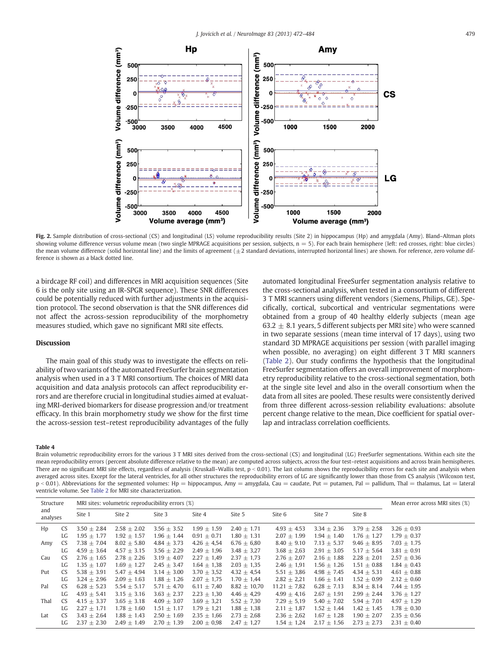<span id="page-7-0"></span>

Fig. 2. Sample distribution of cross-sectional (CS) and longitudinal (LS) volume reproducibility results (Site 2) in hippocampus (Hp) and amygdala (Amy). Bland-Altman plots showing volume difference versus volume mean (two single MPRAGE acquisitions per session, subjects, n = 5). For each brain hemisphere (left: red crosses, right: blue circles) the mean volume difference (solid horizontal line) and the limits of agreement  $(\pm 2$  standard deviations, interrupted horizontal lines) are shown. For reference, zero volume difference is shown as a black dotted line.

a birdcage RF coil) and differences in MRI acquisition sequences (Site 6 is the only site using an IR-SPGR sequence). These SNR differences could be potentially reduced with further adjustments in the acquisition protocol. The second observation is that the SNR differences did not affect the across-session reproducibility of the morphometry measures studied, which gave no significant MRI site effects.

### Discussion

The main goal of this study was to investigate the effects on reliability of two variants of the automated FreeSurfer brain segmentation analysis when used in a 3 T MRI consortium. The choices of MRI data acquisition and data analysis protocols can affect reproducibility errors and are therefore crucial in longitudinal studies aimed at evaluating MRI-derived biomarkers for disease progression and/or treatment efficacy. In this brain morphometry study we show for the first time the across-session test–retest reproducibility advantages of the fully automated longitudinal FreeSurfer segmentation analysis relative to the cross-sectional analysis, when tested in a consortium of different 3 T MRI scanners using different vendors (Siemens, Philips, GE). Specifically, cortical, subcortical and ventricular segmentations were obtained from a group of 40 healthy elderly subjects (mean age 63.2  $\pm$  8.1 years, 5 different subjects per MRI site) who were scanned in two separate sessions (mean time interval of 17 days), using two standard 3D MPRAGE acquisitions per session (with parallel imaging when possible, no averaging) on eight different 3 T MRI scanners [\(Table 2\)](#page-2-0). Our study confirms the hypothesis that the longitudinal FreeSurfer segmentation offers an overall improvement of morphometry reproducibility relative to the cross-sectional segmentation, both at the single site level and also in the overall consortium when the data from all sites are pooled. These results were consistently derived from three different across-session reliability evaluations: absolute percent change relative to the mean, Dice coefficient for spatial overlap and intraclass correlation coefficients.

### Table 4

Brain volumetric reproducibility errors for the various 3 T MRI sites derived from the cross-sectional (CS) and longitudinal (LG) FreeSurfer segmentations. Within each site the mean reproducibility errors (percent absolute difference relative to the mean) are computed across subjects, across the four test–retest acquisitions and across brain hemispheres. There are no significant MRI site effects, regardless of analysis (Kruskall–Wallis test,  $p < 0.01$ ). The last column shows the reproducibility errors for each site and analysis when averaged across sites. Except for the lateral ventricles, for all other structures the reproducibility errors of LG are significantly lower than those from CS analysis (Wilcoxon test,  $p < 0.01$ ). Abbreviations for the segmented volumes: Hp = hippocampus, Amy = amygdala, Cau = caudate, Put = putamen, Pal = pallidum, Thal = thalamus, Lat = lateral ventricle volume. See [Table 2](#page-2-0) for MRI site characterization.

| Structure       |           |                 | MRI sites: volumetric reproducibility errors (%) |                 |                 |                  |                  |                 |                 |                 |  |  |
|-----------------|-----------|-----------------|--------------------------------------------------|-----------------|-----------------|------------------|------------------|-----------------|-----------------|-----------------|--|--|
| and<br>analyses |           | Site 1          | Site 2                                           | Site 3          | Site 4          | Site 5           | Site 6           | Site 7          | Site 8          |                 |  |  |
| Hp              | CS        | $3.50 \pm 2.84$ | $2.58 \pm 2.02$                                  | $3.56 \pm 3.52$ | $1.99 \pm 1.59$ | $2.40 \pm 1.71$  | $4.93 \pm 4.53$  | $3.34 \pm 2.36$ | $3.79 \pm 2.58$ | $3.26 \pm 0.93$ |  |  |
|                 | LG        | $1.95 + 1.77$   | $1.92 \pm 1.57$                                  | $1.96 \pm 1.44$ | $0.91 \pm 0.71$ | $1.80 \pm 1.31$  | $2.07 \pm 1.99$  | $1.94 \pm 1.40$ | $1.76 \pm 1.27$ | $1.79 + 0.37$   |  |  |
| Amy             | <b>CS</b> | $7.38 + 7.04$   | $8.02 \pm 5.80$                                  | $4.84 \pm 3.73$ | $4.26 \pm 4.54$ | $6.76 \pm 6.80$  | $8.40 \pm 9.10$  | $7.13 \pm 5.37$ | $9.46 \pm 8.95$ | $7.03 \pm 1.75$ |  |  |
|                 | LG        | $4.59 + 3.64$   | $4.57 \pm 3.15$                                  | $3.56 \pm 2.29$ | $2.49 \pm 1.96$ | $3.48 \pm 3.27$  | $3.68 \pm 2.63$  | $2.91 \pm 3.05$ | $5.17 \pm 5.64$ | $3.81 \pm 0.91$ |  |  |
| Cau             | <b>CS</b> | $2.76 + 1.65$   | $2.78 \pm 2.26$                                  | $3.19 \pm 4.07$ | $2.27 \pm 1.49$ | $2.37 \pm 1.73$  | $2.76 \pm 2.07$  | $2.16 \pm 1.88$ | $2.28 \pm 2.01$ | $2.57 + 0.36$   |  |  |
|                 | LG        | $1.35 \pm 1.07$ | $1.69 \pm 1.27$                                  | $2.45 \pm 3.47$ | $1.64 \pm 1.38$ | $2.03 \pm 1.35$  | $2.46 \pm 1.91$  | $1.56 \pm 1.26$ | $1.51 \pm 0.88$ | $1.84 \pm 0.43$ |  |  |
| Put             | <b>CS</b> | $5.38 + 3.91$   | $5.47 \pm 4.94$                                  | $3.14 \pm 3.00$ | $3.70 \pm 3.52$ | $4.32 \pm 4.54$  | $5.51 \pm 3.86$  | $4.98 \pm 7.45$ | $4.34 \pm 5.31$ | $4.61 + 0.88$   |  |  |
|                 | LG        | $3.24 \pm 2.96$ | $2.09 \pm 1.63$                                  | $1.88 \pm 1.26$ | $2.07 \pm 1.75$ | $1.70 \pm 1.44$  | $2.82 \pm 2.21$  | $1.66 \pm 1.41$ | $1.52 \pm 0.99$ | $2.12 \pm 0.60$ |  |  |
| Pal             | <b>CS</b> | $6.28 \pm 5.23$ | $5.54 \pm 5.17$                                  | $5.71 \pm 4.70$ | $6.11 \pm 7.40$ | $8.82 \pm 10,70$ | $11.21 \pm 7.82$ | $6.28 \pm 7.13$ | $8.34 \pm 8.14$ | $7.44 \pm 1.95$ |  |  |
|                 | LG        | $4.93 + 5.41$   | $3.15 \pm 3.16$                                  | $3.63 \pm 2.37$ | $2.23 \pm 1.30$ | $4.46 \pm 4.29$  | $4.99 \pm 4.16$  | $2.67 \pm 1.91$ | $2.99 \pm 2.44$ | $3.76 \pm 1.27$ |  |  |
| Thal            | <b>CS</b> | $4.15 + 3.37$   | $3.65 + 3.18$                                    | $4.09 + 3.07$   | $3.69 \pm 3.21$ | $5.52 \pm 7.30$  | $7.29 \pm 5.19$  | $5.40 \pm 7.02$ | $5.94 + 7.01$   | $4.97 \pm 1.29$ |  |  |
|                 | LG        | $2.27 \pm 1.71$ | $1.78 \pm 1.60$                                  | $1.51 \pm 1.17$ | $1.79 \pm 1.21$ | $1.88 \pm 1.38$  | $2.11 \pm 1.87$  | $1.52 \pm 1.44$ | $1.42 \pm 1.45$ | $1.78 \pm 0.30$ |  |  |
| Lat             | <b>CS</b> | $3.43 \pm 2.64$ | $1.88 \pm 1.43$                                  | $2.50 \pm 1.69$ | $2.35 \pm 1.66$ | $2.73 \pm 2.68$  | $2.36 \pm 2.62$  | $1.67 \pm 1.28$ | $1.90 \pm 2.07$ | $2.35 \pm 0.56$ |  |  |
|                 | LG        | $2.37 + 2.30$   | $2.49 + 1.49$                                    | $2.70 \pm 1.39$ | $2.00 \pm 0.98$ | $2.47 \pm 1.27$  | $1.54 \pm 1.24$  | $2.17 \pm 1.56$ | $2.73 + 2.73$   | $2.31 \pm 0.40$ |  |  |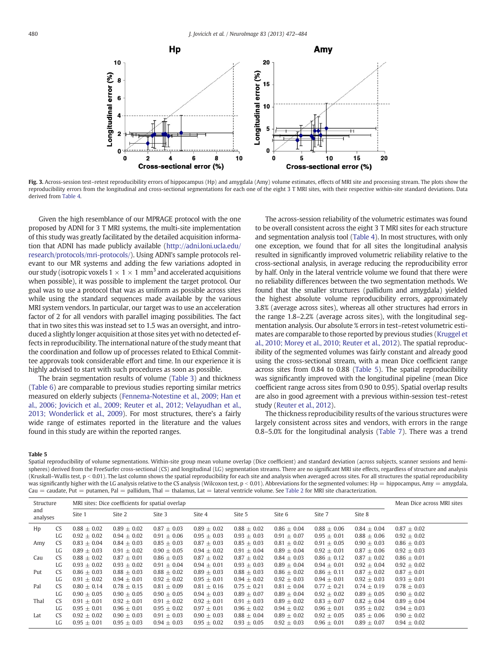<span id="page-8-0"></span>

Fig. 3. Across-session test-retest reproducibility errors of hippocampus (Hp) and amygdala (Amy) volume estimates, effects of MRI site and processing stream. The plots show the reproducibility errors from the longitudinal and cross-sectional segmentations for each one of the eight 3 T MRI sites, with their respective within-site standard deviations. Data derived from [Table 4.](#page-7-0)

Given the high resemblance of our MPRAGE protocol with the one proposed by ADNI for 3 T MRI systems, the multi-site implementation of this study was greatly facilitated by the detailed acquisition information that ADNI has made publicly available ([http://adni.loni.ucla.edu/](http://adni.loni.ucla.edu/research/protocols/mri-protocols/) [research/protocols/mri-protocols/\)](http://adni.loni.ucla.edu/research/protocols/mri-protocols/). Using ADNI's sample protocols relevant to our MR systems and adding the few variations adopted in our study (isotropic voxels  $1 \times 1 \times 1$  mm<sup>3</sup> and accelerated acquisitions when possible), it was possible to implement the target protocol. Our goal was to use a protocol that was as uniform as possible across sites while using the standard sequences made available by the various MRI system vendors. In particular, our target was to use an acceleration factor of 2 for all vendors with parallel imaging possibilities. The fact that in two sites this was instead set to 1.5 was an oversight, and introduced a slightly longer acquisition at those sites yet with no detected effects in reproducibility. The international nature of the study meant that the coordination and follow up of processes related to Ethical Committee approvals took considerable effort and time. In our experience it is highly advised to start with such procedures as soon as possible.

The brain segmentation results of volume [\(Table 3](#page-6-0)) and thickness [\(Table 6\)](#page-9-0) are comparable to previous studies reporting similar metrics measured on elderly subjects [\(Fennema-Notestine et al., 2009; Han et](#page-12-0) [al., 2006; Jovicich et al., 2009; Reuter et al., 2012; Velayudhan et al.,](#page-12-0) [2013; Wonderlick et al., 2009\)](#page-12-0). For most structures, there's a fairly wide range of estimates reported in the literature and the values found in this study are within the reported ranges.

The across-session reliability of the volumetric estimates was found to be overall consistent across the eight 3 T MRI sites for each structure and segmentation analysis tool [\(Table 4\)](#page-7-0). In most structures, with only one exception, we found that for all sites the longitudinal analysis resulted in significantly improved volumetric reliability relative to the cross-sectional analysis, in average reducing the reproducibility error by half. Only in the lateral ventricle volume we found that there were no reliability differences between the two segmentation methods. We found that the smaller structures (pallidum and amygdala) yielded the highest absolute volume reproducibility errors, approximately 3.8% (average across sites), whereas all other structures had errors in the range 1.8–2.2% (average across sites), with the longitudinal segmentation analysis. Our absolute % errors in test–retest volumetric estimates are comparable to those reported by previous studies ([Kruggel et](#page-12-0) [al., 2010; Morey et al., 2010; Reuter et al., 2012](#page-12-0)). The spatial reproducibility of the segmented volumes was fairly constant and already good using the cross-sectional stream, with a mean Dice coefficient range across sites from 0.84 to 0.88 (Table 5). The spatial reproducibility was significantly improved with the longitudinal pipeline (mean Dice coefficient range across sites from 0.90 to 0.95). Spatial overlap results are also in good agreement with a previous within-session test–retest study [\(Reuter et al., 2012](#page-12-0)).

The thickness reproducibility results of the various structures were largely consistent across sites and vendors, with errors in the range 0.8–5.0% for the longitudinal analysis [\(Table 7](#page-10-0)). There was a trend

### Table 5

Spatial reproducibility of volume segmentations. Within-site group mean volume overlap (Dice coefficient) and standard deviation (across subjects, scanner sessions and hemispheres) derived from the FreeSurfer cross-sectional (CS) and longitudinal (LG) segmentation streams. There are no significant MRI site effects, regardless of structure and analysis (Kruskall-Wallis test,  $p < 0.01$ ). The last column shows the spatial reproducibility for each site and analysis when averaged across sites. For all structures the spatial reproducibility was significantly higher with the LG analysis relative to the CS analysis (Wilcoxon test,  $p < 0.01$ ). Abbreviations for the segmented volumes:  $Hp = hipocampus$ , Amy  $= amygdala$ ,  $Cau =$  caudate, Put = putamen, Pal = pallidum, Thal = thalamus, Lat = lateral ventricle volume. See [Table 2](#page-2-0) for MRI site characterization.

| Structure       |           |                 | MRI sites: Dice coefficients for spatial overlap |                 |                 |                 |                 |                 |                 |                 |  |  |
|-----------------|-----------|-----------------|--------------------------------------------------|-----------------|-----------------|-----------------|-----------------|-----------------|-----------------|-----------------|--|--|
| and<br>analyses |           | Site 1          | Site 2                                           | Site 3          | Site 4          | Site 5          | Site 6          | Site 7          | Site 8          |                 |  |  |
| Hp              | <b>CS</b> | $0.88 \pm 0.02$ | $0.89 \pm 0.02$                                  | $0.87 \pm 0.03$ | $0.89 + 0.02$   | $0.88 \pm 0.02$ | $0.86 + 0.04$   | $0.88 \pm 0.06$ | $0.84 \pm 0.04$ | $0.87 \pm 0.02$ |  |  |
|                 | LG        | $0.92 + 0.02$   | $0.94 + 0.02$                                    | $0.91 + 0.06$   | $0.95 + 0.03$   | $0.93 + 0.03$   | $0.91 + 0.07$   | $0.95 + 0.01$   | $0.88 + 0.06$   | $0.92 + 0.02$   |  |  |
| Amy             | <b>CS</b> | $0.83 + 0.04$   | $0.84 + 0.03$                                    | $0.85 \pm 0.03$ | $0.87 + 0.03$   | $0.85 \pm 0.03$ | $0.81 \pm 0.02$ | $0.91 \pm 0.05$ | $0.90 \pm 0.03$ | $0.86 \pm 0.03$ |  |  |
|                 | LG        | $0.89 + 0.03$   | $0.91 + 0.02$                                    | $0.90 + 0.05$   | $0.94 + 0.02$   | $0.91 + 0.04$   | $0.89 + 0.04$   | $0.92 + 0.01$   | $0.87 + 0.06$   | $0.92 + 0.03$   |  |  |
| Cau             | <b>CS</b> | $0.88 \pm 0.02$ | $0.87 + 0.01$                                    | $0.86 \pm 0.03$ | $0.87 + 0.02$   | $0.87 \pm 0.02$ | $0.84 \pm 0.03$ | $0.86 \pm 0.12$ | $0.87 \pm 0.02$ | $0.86 \pm 0.01$ |  |  |
|                 | LG        | $0.93 + 0.02$   | $0.93 + 0.02$                                    | $0.91 + 0.04$   | $0.94 + 0.01$   | $0.93 + 0.03$   | $0.89 + 0.04$   | $0.94 + 0.01$   | $0.92 + 0.04$   | $0.92 + 0.02$   |  |  |
| Put             | <b>CS</b> | $0.86 + 0.03$   | $0.88 + 0.03$                                    | $0.88 + 0.02$   | $0.89 + 0.03$   | $0.88 + 0.03$   | $0.86 + 0.02$   | $0.86 + 0.11$   | $0.87 + 0.02$   | $0.87 + 0.01$   |  |  |
|                 | LG        | $0.91 \pm 0.02$ | $0.94 + 0.01$                                    | $0.92 \pm 0.02$ | $0.95 + 0.01$   | $0.94 \pm 0.02$ | $0.92 \pm 0.03$ | $0.94 \pm 0.01$ | $0.92 \pm 0.03$ | $0.93 + 0.01$   |  |  |
| Pal             | <b>CS</b> | $0.80 \pm 0.14$ | $0.78 \pm 0.15$                                  | $0.81 \pm 0.09$ | $0.81 + 0.16$   | $0.75 \pm 0.21$ | $0.81 \pm 0.04$ | $0.77 \pm 0.21$ | $0.74 + 0.19$   | $0.78 + 0.03$   |  |  |
|                 | LG        | $0.90 + 0.05$   | $0.90 + 0.05$                                    | $0.90 + 0.05$   | $0.94 + 0.03$   | $0.89 + 0.07$   | $0.89 + 0.04$   | $0.92 + 0.02$   | $0.89 + 0.05$   | $0.90 + 0.02$   |  |  |
| Thal            | <b>CS</b> | $0.91 \pm 0.01$ | $0.92 \pm 0.01$                                  | $0.91 \pm 0.02$ | $0.92 \pm 0.01$ | $0.91 \pm 0.03$ | $0.89 \pm 0.02$ | $0.83 \pm 0.07$ | $0.82 \pm 0.04$ | $0.89 \pm 0.04$ |  |  |
|                 | LG        | $0.95 + 0.01$   | $0.96 + 0.01$                                    | $0.95 + 0.02$   | $0.97 + 0.01$   | $0.96 + 0.02$   | $0.94 + 0.02$   | $0.96 + 0.01$   | $0.95 + 0.02$   | $0.94 \pm 0.03$ |  |  |
| Lat             | <b>CS</b> | $0.92 + 0.02$   | $0.90 + 0.03$                                    | $0.91 \pm 0.03$ | $0.90 + 0.03$   | $0.88 \pm 0.04$ | $0.89 \pm 0.02$ | $0.92 \pm 0.05$ | $0.85 \pm 0.06$ | $0.90 \pm 0.02$ |  |  |
|                 | LG        | $0.95 + 0.01$   | $0.95 + 0.03$                                    | $0.94 + 0.03$   | $0.95 + 0.02$   | $0.93 + 0.05$   | $0.92 + 0.03$   | $0.96 + 0.01$   | $0.89 + 0.07$   | $0.94 + 0.02$   |  |  |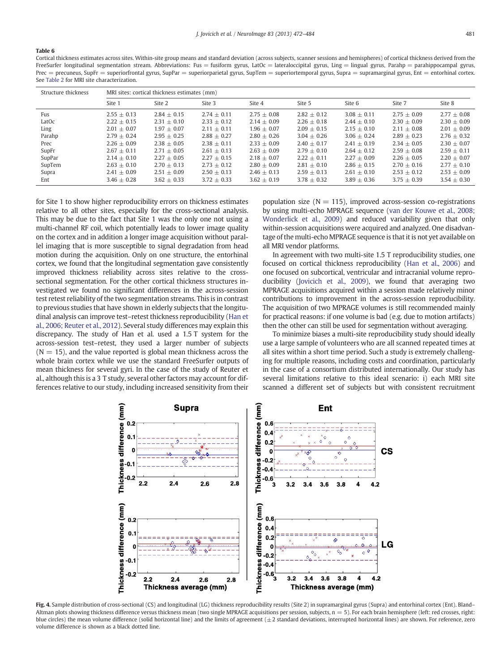### <span id="page-9-0"></span>Table 6

Cortical thickness estimates across sites. Within-site group means and standard deviation (across subjects, scanner sessions and hemispheres) of cortical thickness derived from the FreeSurfer longitudinal segmentation stream. Abbreviations: Fus = fusiform gyrus, LatOc = lateraloccipital gyrus, Ling = lingual gyrus, Parahp = parahippocampal gyrus, Prec = precuneus, SupFr = superiorfrontal gyrus, SupPar = superiorparietal gyrus, SupTem = superiortemporal gyrus, Supra = supramarginal gyrus, Ent = entorhinal cortex. See [Table 2](#page-2-0) for MRI site characterization.

| Structure thickness | MRI sites: cortical thickness estimates (mm) |               |               |               |               |               |               |               |  |
|---------------------|----------------------------------------------|---------------|---------------|---------------|---------------|---------------|---------------|---------------|--|
|                     | Site 1                                       | Site 2        | Site 3        | Site 4        | Site 5        | Site 6        | Site 7        | Site 8        |  |
| Fus                 | $2.55 + 0.13$                                | $2.84 + 0.15$ | $2.74 + 0.11$ | $2.75 + 0.08$ | $2.82 + 0.12$ | $3.08 + 0.11$ | $2.75 + 0.09$ | $2.77 + 0.08$ |  |
| LatOc               | $2.22 + 0.15$                                | $2.31 + 0.10$ | $2.33 + 0.12$ | $2.14 + 0.09$ | $2.26 + 0.18$ | $2.44 + 0.10$ | $2.30 + 0.09$ | $2.30 + 0.09$ |  |
| Ling                | $2.01 + 0.07$                                | $1.97 + 0.07$ | $2.11 + 0.11$ | $1.96 + 0.07$ | $2.09 + 0.15$ | $2.15 + 0.10$ | $2.11 + 0.08$ | $2.01 + 0.09$ |  |
| Parahp              | $2.79 + 0.24$                                | $2.95 + 0.25$ | $2.88 + 0.27$ | $2.80 + 0.26$ | $3.04 + 0.26$ | $3.06 + 0.24$ | $2.89 + 0.23$ | $2.76 + 0.32$ |  |
| Prec                | $2.26 + 0.09$                                | $2.38 + 0.05$ | $2.38 + 0.11$ | $2.33 + 0.09$ | $2.40 + 0.17$ | $2.41 + 0.19$ | $2.34 + 0.05$ | $2.30 + 0.07$ |  |
| SupFr               | $2.67 + 0.11$                                | $2.71 + 0.05$ | $2.61 + 0.13$ | $2.63 + 0.09$ | $2.79 + 0.10$ | $2.64 + 0.12$ | $2.59 + 0.08$ | $2.59 + 0.11$ |  |
| SupPar              | $2.14 + 0.10$                                | $2.27 + 0.05$ | $2.27 + 0.15$ | $2.18 + 0.07$ | $2.22 + 0.11$ | $2.27 + 0.09$ | $2.26 + 0.05$ | $2.20 + 0.07$ |  |
| SupTem              | $2.63 + 0.10$                                | $2.70 + 0.13$ | $2.73 + 0.12$ | $2.80 + 0.09$ | $2.81 + 0.10$ | $2.86 + 0.15$ | $2.70 + 0.16$ | $2.77 + 0.10$ |  |
| Supra               | $2.41 + 0.09$                                | $2.51 + 0.09$ | $2.50 + 0.13$ | $2.46 + 0.13$ | $2.59 + 0.13$ | $2.61 + 0.10$ | $2.53 + 0.12$ | $2.53 + 0.09$ |  |
| Ent                 | $3.46 + 0.28$                                | $3.62 + 0.33$ | $3.72 + 0.33$ | $3.62 + 0.19$ | $3.78 + 0.32$ | $3.89 + 0.36$ | $3.75 + 0.39$ | $3.54 + 0.30$ |  |

for Site 1 to show higher reproducibility errors on thickness estimates relative to all other sites, especially for the cross-sectional analysis. This may be due to the fact that Site 1 was the only one not using a multi-channel RF coil, which potentially leads to lower image quality on the cortex and in addition a longer image acquisition without parallel imaging that is more susceptible to signal degradation from head motion during the acquisition. Only on one structure, the entorhinal cortex, we found that the longitudinal segmentation gave consistently improved thickness reliability across sites relative to the crosssectional segmentation. For the other cortical thickness structures investigated we found no significant differences in the across-session test retest reliability of the two segmentation streams. This is in contrast to previous studies that have shown in elderly subjects that the longitudinal analysis can improve test–retest thickness reproducibility [\(Han et](#page-12-0) [al., 2006; Reuter et al., 2012](#page-12-0)). Several study differences may explain this discrepancy. The study of Han et al. used a 1.5 T system for the across-session test–retest, they used a larger number of subjects  $(N = 15)$ , and the value reported is global mean thickness across the whole brain cortex while we use the standard FreeSurfer outputs of mean thickness for several gyri. In the case of the study of Reuter et al., although this is a 3 T study, several other factors may account for differences relative to our study, including increased sensitivity from their

population size  $(N = 115)$ , improved across-session co-registrations by using multi-echo MPRAGE sequence [\(van der Kouwe et al., 2008;](#page-12-0) [Wonderlick et al., 2009](#page-12-0)) and reduced variability given that only within-session acquisitions were acquired and analyzed. One disadvantage of the multi-echo MPRAGE sequence is that it is not yet available on all MRI vendor platforms.

In agreement with two multi-site 1.5 T reproducibility studies, one focused on cortical thickness reproducibility ([Han et al., 2006](#page-12-0)) and one focused on subcortical, ventricular and intracranial volume reproducibility [\(Jovicich et al., 2009\)](#page-12-0), we found that averaging two MPRAGE acquisitions acquired within a session made relatively minor contributions to improvement in the across-session reproducibility. The acquisition of two MPRAGE volumes is still recommended mainly for practical reasons: if one volume is bad (e.g. due to motion artifacts) then the other can still be used for segmentation without averaging.

To minimize biases a multi-site reproducibility study should ideally use a large sample of volunteers who are all scanned repeated times at all sites within a short time period. Such a study is extremely challenging for multiple reasons, including costs and coordination, particularly in the case of a consortium distributed internationally. Our study has several limitations relative to this ideal scenario: i) each MRI site scanned a different set of subjects but with consistent recruitment



Fig. 4. Sample distribution of cross-sectional (CS) and longitudinal (LG) thickness reproducibility results (Site 2) in supramarginal gyrus (Supra) and entorhinal cortex (Ent). Bland-Altman plots showing thickness difference versus thickness mean (two single MPRAGE acquisitions per session, subjects,  $n = 5$ ). For each brain hemisphere (left: red crosses, right: blue circles) the mean volume difference (solid horizontal line) and the limits of agreement  $(\pm 2$  standard deviations, interrupted horizontal lines) are shown. For reference, zero volume difference is shown as a black dotted line.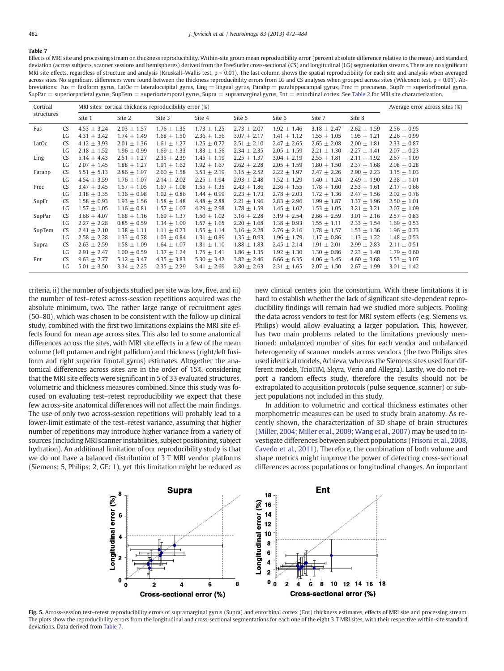### <span id="page-10-0"></span>Table 7

Effects of MRI site and processing stream on thickness reproducibility. Within-site group mean reproducibility error (percent absolute difference relative to the mean) and standard deviation (across subjects, scanner sessions and hemispheres) derived from the FreeSurfer cross-sectional (CS) and longitudinal (LG) segmentation streams. There are no significant MRI site effects, regardless of structure and analysis (Kruskall-Wallis test,  $p < 0.01$ ). The last column shows the spatial reproducibility for each site and analysis when averaged across sites. No significant differences were found between the thickness reproducibility errors from LG and CS analyses when grouped across sites (Wilcoxon test,  $p < 0.01$ ). Abbreviations: Fus = fusiform gyrus, LatOc = lateraloccipital gyrus, Ling = lingual gyrus, Parahp = parahippocampal gyrus, Prec = precuneus, SupFr = superiorfrontal gyrus, SupPar = superiorparietal gyrus, SupTem = superiortemporal gyrus, Supra = supramarginal gyrus, Ent = entorhinal cortex. See [Table 2](#page-2-0) for MRI site characterization.

| Cortical   | MRI sites: cortical thickness reproducibility error (%) |                 |                 |                 |                 |                 | Average error across sites (%) |                 |                 |                 |
|------------|---------------------------------------------------------|-----------------|-----------------|-----------------|-----------------|-----------------|--------------------------------|-----------------|-----------------|-----------------|
| structures |                                                         | Site 1          | Site 2          | Site 3          | Site 4          | Site 5          | Site 6                         | Site 7          | Site 8          |                 |
| Fus        | <b>CS</b>                                               | $4.53 \pm 3.24$ | $2.03 \pm 1.57$ | $1.76 \pm 1.35$ | $1.73 \pm 1.25$ | $2.73 \pm 2.07$ | $1.92 \pm 1.46$                | $3.18 \pm 2.47$ | $2.62 \pm 1.59$ | $2.56 \pm 0.95$ |
|            | LG                                                      | $4.31 \pm 3.42$ | $1.74 \pm 1.49$ | $1.68 \pm 1.50$ | $2.36 \pm 1.56$ | $3.07 \pm 2.17$ | $1.41 \pm 1.12$                | $1.55 \pm 1.05$ | $1.95 \pm 1.21$ | $2.26 \pm 0.99$ |
| LatOc      | <b>CS</b>                                               | $4.12 \pm 3.93$ | $2.01 \pm 1.36$ | $1.61 \pm 1.27$ | $1.25 \pm 0.77$ | $2.51 \pm 2.10$ | $2.47 \pm 2.65$                | $2.65 \pm 2.08$ | $2.00 \pm 1.81$ | $2.33 \pm 0.87$ |
|            | LG                                                      | $2.18 \pm 1.52$ | $1.96 \pm 0.99$ | $1.69 \pm 1.33$ | $1.83 \pm 1.56$ | $2.34 \pm 2.35$ | $2.05 \pm 1.59$                | $2.21 \pm 1.30$ | $2.27 \pm 1.41$ | $2.07 \pm 0.23$ |
| Ling       | <b>CS</b>                                               | $5.14 \pm 4.43$ | $2.51 \pm 1.27$ | $2.35 \pm 2.39$ | $1.45 \pm 1.19$ | $2.25 \pm 1.37$ | $3.04 \pm 2.19$                | $2.55 \pm 1.81$ | $2.11 \pm 1.92$ | $2.67 \pm 1.09$ |
|            | LG                                                      | $2.07 \pm 1.45$ | $1.88 \pm 1.27$ | $1.91 \pm 1.62$ | $1.92 \pm 1.67$ | $2.62 \pm 2.28$ | $2.05 \pm 1.59$                | $1.80 \pm 1.50$ | $2.37 \pm 1.68$ | $2.08 \pm 0.28$ |
| Parahp     | <b>CS</b>                                               | $5.51 \pm 5.13$ | $2.86 \pm 1.97$ | $2.60 \pm 1.58$ | $3.53 \pm 2.19$ | $3.15 \pm 2.52$ | $2.22 \pm 1.97$                | $2.47 \pm 2.26$ | $2.90 \pm 2.23$ | $3.15 \pm 1.03$ |
|            | LG                                                      | $4.54 \pm 3.59$ | $1.76 \pm 1.07$ | $2.14 \pm 2.02$ | $2.25 \pm 1.94$ | $2.93 \pm 2.48$ | $1.52 \pm 1.29$                | $1.40 \pm 1.24$ | $2.49 \pm 1.90$ | $2.38 \pm 1.01$ |
| Prec       | <b>CS</b>                                               | $3.47 \pm 3.45$ | $1.57 \pm 1.05$ | $1.67 \pm 1.08$ | $1.55 \pm 1.35$ | $2.43 \pm 1.86$ | $2.36 \pm 1.55$                | $1.78 \pm 1.60$ | $2.53 \pm 1.61$ | $2.17 \pm 0.66$ |
|            | LG                                                      | $3.18 \pm 3.35$ | $1.36 \pm 0.98$ | $1.02 \pm 0.86$ | $1.44 \pm 0.99$ | $2.23 \pm 1.73$ | $2.78 \pm 2.03$                | $1.72 \pm 1.36$ | $2.47 \pm 1.56$ | $2.02 \pm 0.76$ |
| SupFr      | <b>CS</b>                                               | $1.58 \pm 0.93$ | $1.93 \pm 1.56$ | $1.58 \pm 1.48$ | $4.48 \pm 2.88$ | $2.21 \pm 1.96$ | $2.83 \pm 2.96$                | $1.99 \pm 1.87$ | $3.37 \pm 1.96$ | $2.50 \pm 1.01$ |
|            | LG                                                      | $1.57 \pm 1.05$ | $1.16 \pm 0.81$ | $1.57 \pm 1.07$ | $4.29 \pm 2.98$ | $1.78 \pm 1.59$ | $1.45 \pm 1.02$                | $1.53 \pm 1.05$ | $3.21 \pm 3.21$ | $2.07 \pm 1.09$ |
| SupPar     | <b>CS</b>                                               | $3.66 \pm 4.07$ | $1.68 \pm 1.16$ | $1.69 \pm 1.37$ | $1.50 \pm 1.02$ | $3.16 \pm 2.28$ | $3.19 \pm 2.54$                | $2.66 \pm 2.59$ | $3.01 \pm 2.16$ | $2.57 \pm 0.83$ |
|            | LG                                                      | $2.27 \pm 2.28$ | $0.85 \pm 0.59$ | $1.34 \pm 1.09$ | $1.57 \pm 1.65$ | $2.20 \pm 1.68$ | $1.38 \pm 0.93$                | $1.55 \pm 1.11$ | $2.33 \pm 1.54$ | $1.69 \pm 0.53$ |
| SupTem     | <b>CS</b>                                               | $2.41 \pm 2.10$ | $1.38 \pm 1.11$ | $1.11 \pm 0.73$ | $1.55 \pm 1.14$ | $3.16 \pm 2.28$ | $2.76 \pm 2.16$                | $1.78 \pm 1.57$ | $1.53 \pm 1.36$ | $1.96 \pm 0.73$ |
|            | LG                                                      | $2.58 \pm 2.28$ | $1.33 \pm 0.78$ | $1.03 \pm 0.84$ | $1.31 \pm 0.89$ | $1.35 \pm 0.93$ | $1.96 \pm 1.79$                | $1.17 \pm 0.86$ | $1.13 \pm 1.22$ | $1.48 \pm 0.53$ |
| Supra      | <b>CS</b>                                               | $2.63 \pm 2.59$ | $1.58 \pm 1.09$ | $1.64 \pm 1.07$ | $1.81 \pm 1.10$ | $1.88 \pm 1.83$ | $2.45 \pm 2.14$                | $1.91 \pm 2.01$ | $2.99 \pm 2.83$ | $2.11 \pm 0.51$ |
|            | LG                                                      | $2.91 \pm 2.47$ | $1.00 \pm 0.59$ | $1.37 \pm 1.24$ | $1.75 \pm 1.41$ | $1.86 \pm 1.35$ | $1.92 \pm 1.30$                | $1.30 \pm 0.86$ | $2.23 \pm 1.40$ | $1.79 \pm 0.60$ |
| Ent        | <b>CS</b>                                               | $9.63 \pm 7.77$ | $5.12 \pm 3.47$ | $4.35 \pm 3.83$ | $5.30 \pm 3.42$ | $3.82 \pm 2.46$ | $6.66 \pm 6.35$                | $4.06 \pm 3.45$ | $4.60 \pm 3.68$ | $5.53 \pm 3.07$ |
|            | LG                                                      | $5.01 \pm 3.50$ | $3.34 \pm 2.25$ | $2.35 \pm 2.29$ | $3.41 \pm 2.69$ | $2.80 \pm 2.63$ | $2.31 \pm 1.65$                | $2.07 \pm 1.50$ | $2.67 \pm 1.99$ | $3.01 \pm 1.42$ |

criteria, ii) the number of subjects studied per site was low, five, and iii) the number of test–retest across-session repetitions acquired was the absolute minimum, two. The rather large range of recruitment ages (50–80), which was chosen to be consistent with the follow up clinical study, combined with the first two limitations explains the MRI site effects found for mean age across sites. This also led to some anatomical differences across the sites, with MRI site effects in a few of the mean volume (left putamen and right pallidum) and thickness (right/left fusiform and right superior frontal gyrus) estimates. Altogether the anatomical differences across sites are in the order of 15%, considering that the MRI site effects were significant in 5 of 33 evaluated structures, volumetric and thickness measures combined. Since this study was focused on evaluating test–retest reproducibility we expect that these few across-site anatomical differences will not affect the main findings. The use of only two across-session repetitions will probably lead to a lower-limit estimate of the test–retest variance, assuming that higher number of repetitions may introduce higher variance from a variety of sources (including MRI scanner instabilities, subject positioning, subject hydration). An additional limitation of our reproducibility study is that we do not have a balanced distribution of 3 T MRI vendor platforms (Siemens: 5, Philips: 2, GE: 1), yet this limitation might be reduced as new clinical centers join the consortium. With these limitations it is hard to establish whether the lack of significant site-dependent reproducibility findings will remain had we studied more subjects. Pooling the data across vendors to test for MRI system effects (e.g. Siemens vs. Philips) would allow evaluating a larger population. This, however, has two main problems related to the limitations previously mentioned: unbalanced number of sites for each vendor and unbalanced heterogeneity of scanner models across vendors (the two Philips sites used identical models, Achieva, whereas the Siemens sites used four different models, TrioTIM, Skyra, Verio and Allegra). Lastly, we do not report a random effects study, therefore the results should not be extrapolated to acquisition protocols (pulse sequence, scanner) or subject populations not included in this study.

In addition to volumetric and cortical thickness estimates other morphometric measures can be used to study brain anatomy. As recently shown, the characterization of 3D shape of brain structures [\(Miller, 2004; Miller et al., 2009; Wang et al., 2007\)](#page-12-0) may be used to investigate differences between subject populations [\(Frisoni et al., 2008,](#page-12-0) [Cavedo et al., 2011\)](#page-12-0). Therefore, the combination of both volume and shape metrics might improve the power of detecting cross-sectional differences across populations or longitudinal changes. An important



Fig. 5. Across-session test-retest reproducibility errors of supramarginal gyrus (Supra) and entorhinal cortex (Ent) thickness estimates, effects of MRI site and processing stream. The plots show the reproducibility errors from the longitudinal and cross-sectional segmentations for each one of the eight 3 T MRI sites, with their respective within-site standard deviations. Data derived from Table 7.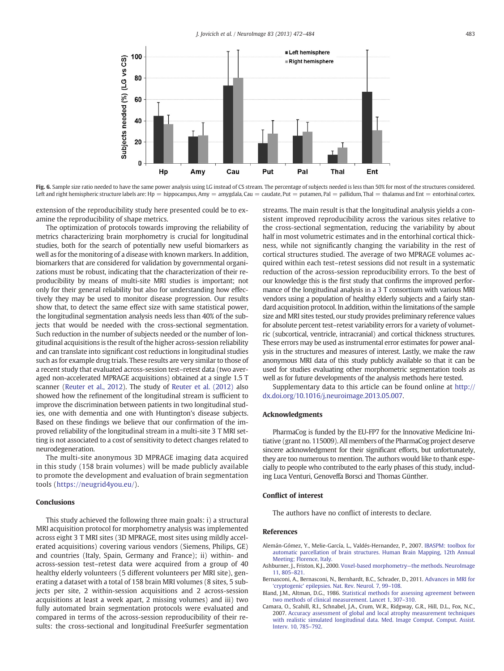<span id="page-11-0"></span>

Fig. 6. Sample size ratio needed to have the same power analysis using LG instead of CS stream. The percentage of subjects needed is less than 50% for most of the structures considered. Left and right hemispheric structure labels are: Hp = hippocampus, Amy = amygdala, Cau = caudate, Put = putamen, Pal = pallidum, Thal = thalamus and Ent = entorhinal cortex.

extension of the reproducibility study here presented could be to examine the reproducibility of shape metrics.

The optimization of protocols towards improving the reliability of metrics characterizing brain morphometry is crucial for longitudinal studies, both for the search of potentially new useful biomarkers as well as for the monitoring of a disease with known markers. In addition, biomarkers that are considered for validation by governmental organizations must be robust, indicating that the characterization of their reproducibility by means of multi-site MRI studies is important; not only for their general reliability but also for understanding how effectively they may be used to monitor disease progression. Our results show that, to detect the same effect size with same statistical power, the longitudinal segmentation analysis needs less than 40% of the subjects that would be needed with the cross-sectional segmentation. Such reduction in the number of subjects needed or the number of longitudinal acquisitions is the result of the higher across-session reliability and can translate into significant cost reductions in longitudinal studies such as for example drug trials. These results are very similar to those of a recent study that evaluated across-session test–retest data (two averaged non-accelerated MPRAGE acquisitions) obtained at a single 1.5 T scanner [\(Reuter et al., 2012\)](#page-12-0). The study of [Reuter et al. \(2012\)](#page-12-0) also showed how the refinement of the longitudinal stream is sufficient to improve the discrimination between patients in two longitudinal studies, one with dementia and one with Huntington's disease subjects. Based on these findings we believe that our confirmation of the improved reliability of the longitudinal stream in a multi-site 3 T MRI setting is not associated to a cost of sensitivity to detect changes related to neurodegeneration.

The multi-site anonymous 3D MPRAGE imaging data acquired in this study (158 brain volumes) will be made publicly available to promote the development and evaluation of brain segmentation tools ([https://neugrid4you.eu/\)](https://neugrid4you.eu/).

### Conclusions

This study achieved the following three main goals: i) a structural MRI acquisition protocol for morphometry analysis was implemented across eight 3 T MRI sites (3D MPRAGE, most sites using mildly accelerated acquisitions) covering various vendors (Siemens, Philips, GE) and countries (Italy, Spain, Germany and France); ii) within- and across-session test–retest data were acquired from a group of 40 healthy elderly volunteers (5 different volunteers per MRI site), generating a dataset with a total of 158 brain MRI volumes (8 sites, 5 subjects per site, 2 within-session acquisitions and 2 across-session acquisitions at least a week apart, 2 missing volumes) and iii) two fully automated brain segmentation protocols were evaluated and compared in terms of the across-session reproducibility of their results: the cross-sectional and longitudinal FreeSurfer segmentation streams. The main result is that the longitudinal analysis yields a consistent improved reproducibility across the various sites relative to the cross-sectional segmentation, reducing the variability by about half in most volumetric estimates and in the entorhinal cortical thickness, while not significantly changing the variability in the rest of cortical structures studied. The average of two MPRAGE volumes acquired within each test–retest sessions did not result in a systematic reduction of the across-session reproducibility errors. To the best of our knowledge this is the first study that confirms the improved performance of the longitudinal analysis in a 3 T consortium with various MRI vendors using a population of healthy elderly subjects and a fairly standard acquisition protocol. In addition, within the limitations of the sample size and MRI sites tested, our study provides preliminary reference values for absolute percent test–retest variability errors for a variety of volumetric (subcortical, ventricle, intracranial) and cortical thickness structures. These errors may be used as instrumental error estimates for power analysis in the structures and measures of interest. Lastly, we make the raw anonymous MRI data of this study publicly available so that it can be used for studies evaluating other morphometric segmentation tools as well as for future developments of the analysis methods here tested.

Supplementary data to this article can be found online at [http://](http://dx.doi.org/10.1016/j.neuroimage.2013.05.007) [dx.doi.org/10.1016/j.neuroimage.2013.05.007.](http://dx.doi.org/10.1016/j.neuroimage.2013.05.007)

### Acknowledgments

PharmaCog is funded by the EU-FP7 for the Innovative Medicine Initiative (grant no. 115009). All members of the PharmaCog project deserve sincere acknowledgment for their significant efforts, but unfortunately, they are too numerous to mention. The authors would like to thank especially to people who contributed to the early phases of this study, including Luca Venturi, Genoveffa Borsci and Thomas Günther.

### Conflict of interest

The authors have no conflict of interests to declare.

### References

- Alemán-Gómez, Y., Melie-García, L., Valdés-Hernandez, P., 2007. [IBASPM: toolbox for](http://refhub.elsevier.com/S1053-8119(13)00497-7/rf0205) [automatic parcellation of brain structures. Human Brain Mapping, 12th Annual](http://refhub.elsevier.com/S1053-8119(13)00497-7/rf0205) [Meeting; Florence, Italy.](http://refhub.elsevier.com/S1053-8119(13)00497-7/rf0205)
- Ashburner, J., Friston, K.J., 2000. [Voxel-based morphometry](http://refhub.elsevier.com/S1053-8119(13)00497-7/rf0005)—the methods. NeuroImage [11, 805](http://refhub.elsevier.com/S1053-8119(13)00497-7/rf0005)–821.
- Bernasconi, A., Bernasconi, N., Bernhardt, B.C., Schrader, D., 2011. [Advances in MRI for](http://refhub.elsevier.com/S1053-8119(13)00497-7/rf0010) 'cryptogenic' [epilepsies. Nat. Rev. Neurol. 7, 99](http://refhub.elsevier.com/S1053-8119(13)00497-7/rf0010)–108.
- Bland, J.M., Altman, D.G., 1986. [Statistical methods for assessing agreement between](http://refhub.elsevier.com/S1053-8119(13)00497-7/rf0015) [two methods of clinical measurement. Lancet 1, 307](http://refhub.elsevier.com/S1053-8119(13)00497-7/rf0015)–310.
- Camara, O., Scahill, R.I., Schnabel, J.A., Crum, W.R., Ridgway, G.R., Hill, D.L., Fox, N.C., 2007. [Accuracy assessment of global and local atrophy measurement techniques](http://refhub.elsevier.com/S1053-8119(13)00497-7/rf0020) [with realistic simulated longitudinal data. Med. Image Comput. Comput. Assist.](http://refhub.elsevier.com/S1053-8119(13)00497-7/rf0020) [Interv. 10, 785](http://refhub.elsevier.com/S1053-8119(13)00497-7/rf0020)–792.